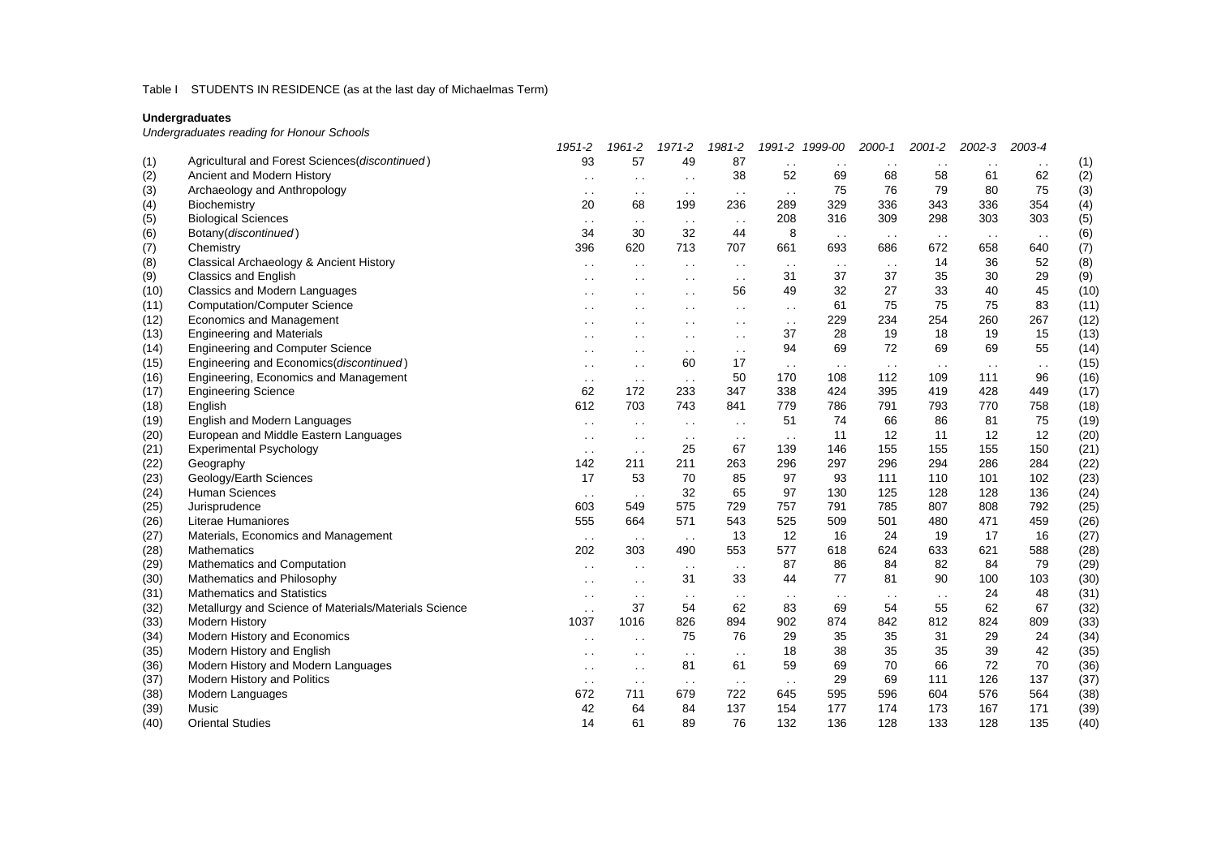# Table I STUDENTS IN RESIDENCE (as at the last day of Michaelmas Term)

#### **Undergraduates**

*Undergraduates reading for Honour Schools*

|      |                                                       | 1951-2               | 1961-2        | 1971-2               | 1981-2               |               | 1991-2 1999-00 | 2000-1        | 2001-2        | 2002-3        | 2003-4               |      |
|------|-------------------------------------------------------|----------------------|---------------|----------------------|----------------------|---------------|----------------|---------------|---------------|---------------|----------------------|------|
| (1)  | Agricultural and Forest Sciences(discontinued)        | 93                   | 57            | 49                   | 87                   | $\sim$ $\sim$ | $\sim$ $\sim$  | $\sim$ $\sim$ | $\sim$ $\sim$ | $\sim$ $\sim$ | $\ddot{\phantom{1}}$ | (1)  |
| (2)  | Ancient and Modern History                            | $\ddot{\phantom{a}}$ | $\sim$ $\sim$ | $\ddot{\phantom{0}}$ | 38                   | 52            | 69             | 68            | 58            | 61            | 62                   | (2)  |
| (3)  | Archaeology and Anthropology                          | $\sim$ $\sim$        | $\sim$ $\sim$ | $\sim$ $\sim$        | $\sim$ $\sim$        | $\sim$ $\sim$ | 75             | 76            | 79            | 80            | 75                   | (3)  |
| (4)  | Biochemistry                                          | 20                   | 68            | 199                  | 236                  | 289           | 329            | 336           | 343           | 336           | 354                  | (4)  |
| (5)  | <b>Biological Sciences</b>                            | $\sim$ $\sim$        | $\sim$ $\sim$ | $\sim$ $\sim$        | $\sim$ $\sim$        | 208           | 316            | 309           | 298           | 303           | 303                  | (5)  |
| (6)  | Botany(discontinued)                                  | 34                   | 30            | 32                   | 44                   | 8             | $\sim$         | $\sim$ $\sim$ | $\sim$ $\sim$ | $\sim$ $\sim$ | $\sim$ $\sim$        | (6)  |
| (7)  | Chemistry                                             | 396                  | 620           | 713                  | 707                  | 661           | 693            | 686           | 672           | 658           | 640                  | (7)  |
| (8)  | Classical Archaeology & Ancient History               | $\sim$ $\sim$        | $\sim$ $\sim$ | $\sim$ $\sim$        | $\sim$ $\sim$        | $\sim$ $\sim$ | $\sim$ $\sim$  | $\sim$ $\sim$ | 14            | 36            | 52                   | (8)  |
| (9)  | <b>Classics and English</b>                           | $\sim$ $\sim$        | $\sim$ $\sim$ | $\sim$ $\sim$        | $\sim$ $\sim$        | 31            | 37             | 37            | 35            | 30            | 29                   | (9)  |
| (10) | <b>Classics and Modern Languages</b>                  | $\sim$ $\sim$        | $\sim$ $\sim$ | $\cdot$ $\cdot$      | 56                   | 49            | 32             | 27            | 33            | 40            | 45                   | (10) |
| (11) | <b>Computation/Computer Science</b>                   | $\sim$ $\sim$        | $\ddotsc$     | $\sim$ $\sim$        | $\sim$               | $\sim$ $\sim$ | 61             | 75            | 75            | 75            | 83                   | (11) |
| (12) | Economics and Management                              | $\sim$ $\sim$        | $\sim$ $\sim$ | $\ddot{\phantom{0}}$ | $\ddot{\phantom{a}}$ | $\sim$ $\sim$ | 229            | 234           | 254           | 260           | 267                  | (12) |
| (13) | <b>Engineering and Materials</b>                      | $\sim$ $\sim$        | $\sim$ $\sim$ | $\sim$ $\sim$        | $\ddot{\phantom{a}}$ | 37            | 28             | 19            | 18            | 19            | 15                   | (13) |
| (14) | <b>Engineering and Computer Science</b>               | $\ddot{\phantom{a}}$ | $\sim$ $\sim$ | $\sim$ $\sim$        | $\sim$ $\sim$        | 94            | 69             | 72            | 69            | 69            | 55                   | (14) |
| (15) | Engineering and Economics(discontinued)               | $\ddot{\phantom{a}}$ | $\sim$ $\sim$ | 60                   | 17                   | $\sim$ $\sim$ | $\sim$ $\sim$  | $\sim$ $\sim$ | $\sim$ $\sim$ | $\sim$ $\sim$ | $\sim$ $\sim$        | (15) |
| (16) | Engineering, Economics and Management                 | $\sim$               | $\sim$ $\sim$ | $\sim$ $\sim$        | 50                   | 170           | 108            | 112           | 109           | 111           | 96                   | (16) |
| (17) | <b>Engineering Science</b>                            | 62                   | 172           | 233                  | 347                  | 338           | 424            | 395           | 419           | 428           | 449                  | (17) |
| (18) | English                                               | 612                  | 703           | 743                  | 841                  | 779           | 786            | 791           | 793           | 770           | 758                  | (18) |
| (19) | English and Modern Languages                          | $\sim$ $\sim$        | $\sim$ $\sim$ | $\sim$ $\sim$        | $\ddot{\phantom{a}}$ | 51            | 74             | 66            | 86            | 81            | 75                   | (19) |
| (20) | European and Middle Eastern Languages                 | $\sim$ $\sim$        | $\sim$ $\sim$ | $\sim$ $\sim$        | $\sim$ $\sim$        | $\sim$ $\sim$ | 11             | 12            | 11            | 12            | 12                   | (20) |
| (21) | <b>Experimental Psychology</b>                        | $\sim$ $\sim$        | $\sim$ $\sim$ | 25                   | 67                   | 139           | 146            | 155           | 155           | 155           | 150                  | (21) |
| (22) | Geography                                             | 142                  | 211           | 211                  | 263                  | 296           | 297            | 296           | 294           | 286           | 284                  | (22) |
| (23) | Geology/Earth Sciences                                | 17                   | 53            | 70                   | 85                   | 97            | 93             | 111           | 110           | 101           | 102                  | (23) |
| (24) | Human Sciences                                        | $\sim$ $\sim$        | $\sim$ $\sim$ | 32                   | 65                   | 97            | 130            | 125           | 128           | 128           | 136                  | (24) |
| (25) | Jurisprudence                                         | 603                  | 549           | 575                  | 729                  | 757           | 791            | 785           | 807           | 808           | 792                  | (25) |
| (26) | Literae Humaniores                                    | 555                  | 664           | 571                  | 543                  | 525           | 509            | 501           | 480           | 471           | 459                  | (26) |
| (27) | Materials, Economics and Management                   | $\sim$ $\sim$        | $\sim$ $\sim$ | $\sim$ $\sim$        | 13                   | 12            | 16             | 24            | 19            | 17            | 16                   | (27) |
| (28) | Mathematics                                           | 202                  | 303           | 490                  | 553                  | 577           | 618            | 624           | 633           | 621           | 588                  | (28) |
| (29) | Mathematics and Computation                           | $\ddot{\phantom{a}}$ | $\sim$ $\sim$ | $\sim$ $\sim$        | $\sim$ $\sim$        | 87            | 86             | 84            | 82            | 84            | 79                   | (29) |
| (30) | Mathematics and Philosophy                            | $\sim$ $\sim$        | $\sim$ $\sim$ | 31                   | 33                   | 44            | 77             | 81            | 90            | 100           | 103                  | (30) |
| (31) | <b>Mathematics and Statistics</b>                     | $\sim$ $\sim$        | $\sim$ $\sim$ | $\sim$ $\sim$        | $\sim$ $\sim$        | $\sim$ $\sim$ | $\sim$         | $\sim$ $\sim$ | $\sim$ $\sim$ | 24            | 48                   | (31) |
| (32) | Metallurgy and Science of Materials/Materials Science | $\sim$ $\sim$        | 37            | 54                   | 62                   | 83            | 69             | 54            | 55            | 62            | 67                   | (32) |
| (33) | Modern History                                        | 1037                 | 1016          | 826                  | 894                  | 902           | 874            | 842           | 812           | 824           | 809                  | (33) |
| (34) | Modern History and Economics                          | $\sim$ $\sim$        | $\sim$ $\sim$ | 75                   | 76                   | 29            | 35             | 35            | 31            | 29            | 24                   | (34) |
| (35) | Modern History and English                            |                      | $\sim$ $\sim$ | $\sim$ $\sim$        | $\sim$ $\sim$        | 18            | 38             | 35            | 35            | 39            | 42                   | (35) |
| (36) | Modern History and Modern Languages                   | $\sim$ $\sim$        | $\sim$ $\sim$ | 81                   | 61                   | 59            | 69             | 70            | 66            | 72            | 70                   | (36) |
| (37) | Modern History and Politics                           | $\sim$ $\sim$        | $\sim$ $\sim$ | $\sim$ $\sim$        | $\sim$ $\sim$        | $\sim$ $\sim$ | 29             | 69            | 111           | 126           | 137                  | (37) |
| (38) | Modern Languages                                      | 672                  | 711           | 679                  | 722                  | 645           | 595            | 596           | 604           | 576           | 564                  | (38) |
| (39) | Music                                                 | 42                   | 64            | 84                   | 137                  | 154           | 177            | 174           | 173           | 167           | 171                  | (39) |
| (40) | <b>Oriental Studies</b>                               | 14                   | 61            | 89                   | 76                   | 132           | 136            | 128           | 133           | 128           | 135                  | (40) |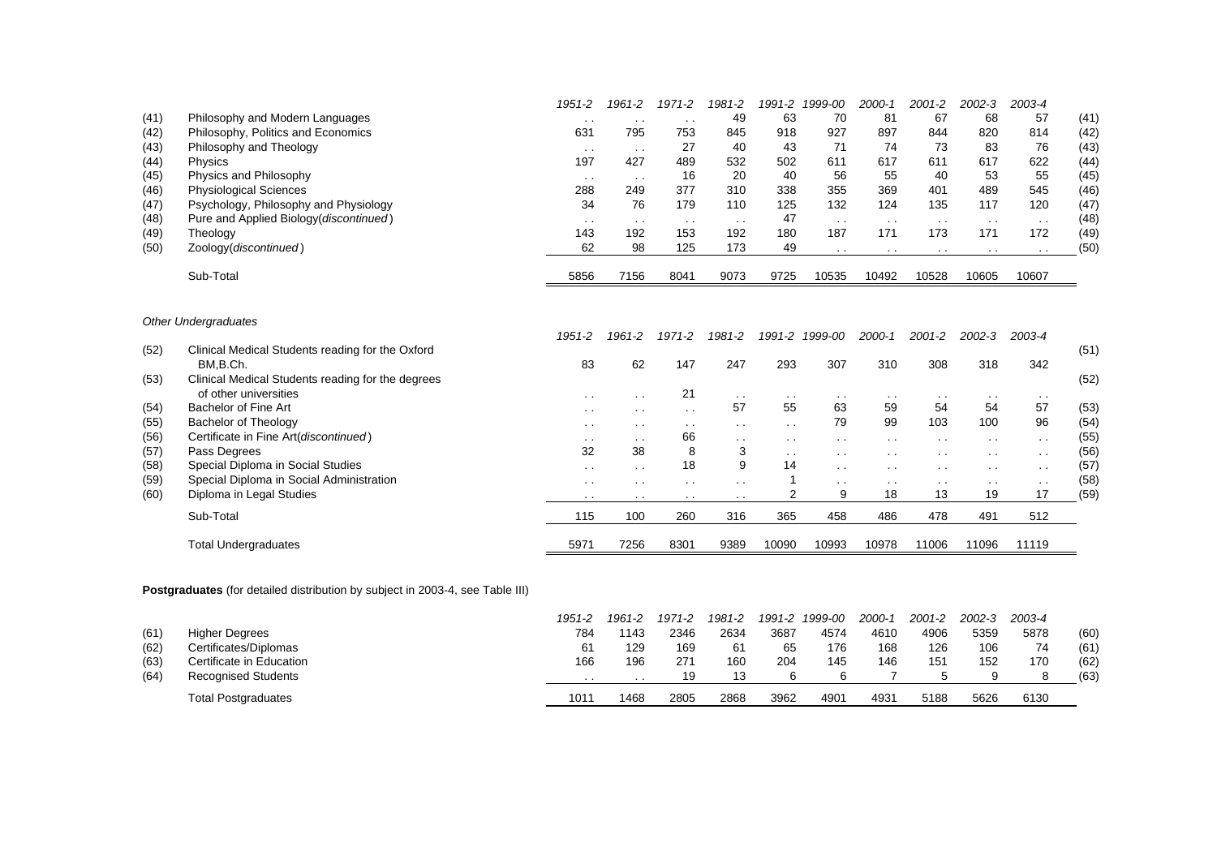|      |                                        | 1951-2   | 1961-2          | 1971-2          | 1981-2 | 1991-2 | 1999-00         | $2000 - 1$ | $2001 - 2$ | $2002 - 3$      | 2003-4 |      |
|------|----------------------------------------|----------|-----------------|-----------------|--------|--------|-----------------|------------|------------|-----------------|--------|------|
| (41) | Philosophy and Modern Languages        | . .      | . .             | $\cdot$ .       | 49     | 63     | 70              | 81         | 67         | 68              | 57     | (41) |
| (42) | Philosophy, Politics and Economics     | 631      | 795             | 753             | 845    | 918    | 927             | 897        | 844        | 820             | 814    | (42) |
| (43) | Philosophy and Theology                | $\cdots$ | $\cdots$        | 27              | 40     | 43     | 71              | 74         | 73         | 83              | 76     | (43) |
| (44) | Physics                                | 197      | 427             | 489             | 532    | 502    | 611             | 617        | 611        | 617             | 622    | (44) |
| (45) | Physics and Philosophy                 | $\cdots$ | $\cdot$ $\cdot$ | 16              | 20     | 40     | 56              | 55         | 40         | 53              | 55     | (45) |
| (46) | <b>Physiological Sciences</b>          | 288      | 249             | 377             | 310    | 338    | 355             | 369        | 401        | 489             | 545    | (46) |
| (47) | Psychology, Philosophy and Physiology  | 34       | 76              | 179             | 110    | 125    | 132             | 124        | 135        | 117             | 120    | (47) |
| (48) | Pure and Applied Biology(discontinued) | $\cdots$ | $\cdot$ $\cdot$ | $\cdot$ $\cdot$ | . .    | 47     | $\cdot$ $\cdot$ | $\sim$     | $\cdots$   | $\cdot$ $\cdot$ | $\sim$ | (48) |
| (49) | Theology                               | 143      | 192             | 153             | 192    | 180    | 187             | 171        | 173        | 171             | 172    | (49) |
| (50) | Zoology(discontinued)                  | 62       | 98              | 125             | 173    | 49     | . .             | . .        | . .        | . .             | . .    | (50) |
|      | Sub-Total                              | 5856     | 7156            | 8041            | 9073   | 9725   | 10535           | 10492      | 10528      | 10605           | 10607  |      |

## *Other Undergraduates*

|      |                                                   | 1951-2        | 1961-2          | 1971-2          | 1981-2          | 1991-2          | 1999-00         | 2000-1          | 2001-2        | $2002 - 3$    | 2003-4    |      |
|------|---------------------------------------------------|---------------|-----------------|-----------------|-----------------|-----------------|-----------------|-----------------|---------------|---------------|-----------|------|
| (52) | Clinical Medical Students reading for the Oxford  |               |                 |                 |                 |                 |                 |                 |               |               |           | (51) |
|      | BM.B.Ch.                                          | 83            | 62              | 147             | 247             | 293             | 307             | 310             | 308           | 318           | 342       |      |
| (53) | Clinical Medical Students reading for the degrees |               |                 |                 |                 |                 |                 |                 |               |               |           | (52) |
|      | of other universities                             | $\sim$ $\sim$ | $\sim$          | 21              | $\cdot$ .       | $\cdot$ .       | $\sim$          | $\sim$          | $\cdots$      | . .           | $\sim$    |      |
| (54) | Bachelor of Fine Art                              | $\sim$        | $\cdot$ $\cdot$ | $\cdot$ $\cdot$ | 57              | 55              | 63              | 59              | 54            | 54            | 57        | (53) |
| (55) | <b>Bachelor of Theology</b>                       | $\cdots$      | $\cdot$ $\cdot$ | . .             | $\cdot$ $\cdot$ | $\cdot$ .       | 79              | 99              | 103           | 100           | 96        | (54) |
| (56) | Certificate in Fine Art(discontinued)             | $\sim$ $\sim$ | $\cdot$ $\cdot$ | 66              | $\cdot$ .       | $\cdot$ $\cdot$ | $\cdot$ $\cdot$ | $\cdot$ $\cdot$ | $\sim$        | $\sim$        | $\cdot$ . | (55) |
| (57) | Pass Degrees                                      | 32            | 38              | 8               | 3               | $\cdot$ $\cdot$ | $\cdot$ $\cdot$ | $\sim$          | $\sim$        | $\sim$        | $\cdot$ . | (56) |
| (58) | Special Diploma in Social Studies                 | $\sim$        | $\cdot$ $\cdot$ | 18              | 9               | 14              | $\cdot$ $\cdot$ | $\cdot$ $\cdot$ | $\sim$        | $\sim$        | $\sim$    | (57) |
| (59) | Special Diploma in Social Administration          | $\sim$        | $\cdot$ $\cdot$ | $\cdot$ $\cdot$ | $\cdot$ $\cdot$ |                 | $\cdot$ $\cdot$ | $\sim$          | $\sim$ $\sim$ | $\sim$ $\sim$ | $\sim$    | (58) |
| (60) | Diploma in Legal Studies                          | $\cdots$      | . .             | $\sim$          | $\cdot$ $\cdot$ |                 | 9               | 18              | 13            | 19            | 17        | (59) |
|      | Sub-Total                                         | 115           | 100             | 260             | 316             | 365             | 458             | 486             | 478           | 491           | 512       |      |
|      | <b>Total Undergraduates</b>                       | 5971          | 7256            | 8301            | 9389            | 10090           | 10993           | 10978           | 11006         | 11096         | 11119     |      |

**Postgraduates** (for detailed distribution by subject in 2003-4, see Table III)

|      |                            | 1951-2 | 1961-2          | 1971-2 | 1981-2 | 1991-2 | 1999-00          | 2000-1 | 2001-2 | 2002-3 | 2003-4 |      |
|------|----------------------------|--------|-----------------|--------|--------|--------|------------------|--------|--------|--------|--------|------|
| (61) | <b>Higher Degrees</b>      | 784    | 1143            | 2346   | 2634   | 3687   | 4574             | 4610   | 4906   | 5359   | 5878   | (60) |
| (62) | Certificates/Diplomas      | 61     | 129             | 169    | 61     | 65     | 176              | 168    | 126    | 106    | 74     | (61) |
| (63) | Certificate in Education   | 166    | 196             | 271    | 160    | 204    | 145              | 146    | 151    | 152    | 170    | (62) |
| (64) | <b>Recognised Students</b> | . .    | $\cdot$ $\cdot$ | 19     | 13     |        |                  |        |        |        |        | (63) |
|      | <b>Total Postgraduates</b> | 1011   | 1468            | 2805   | 2868   | 3962   | 490 <sup>7</sup> | 4931   | 5188   | 5626   | 6130   |      |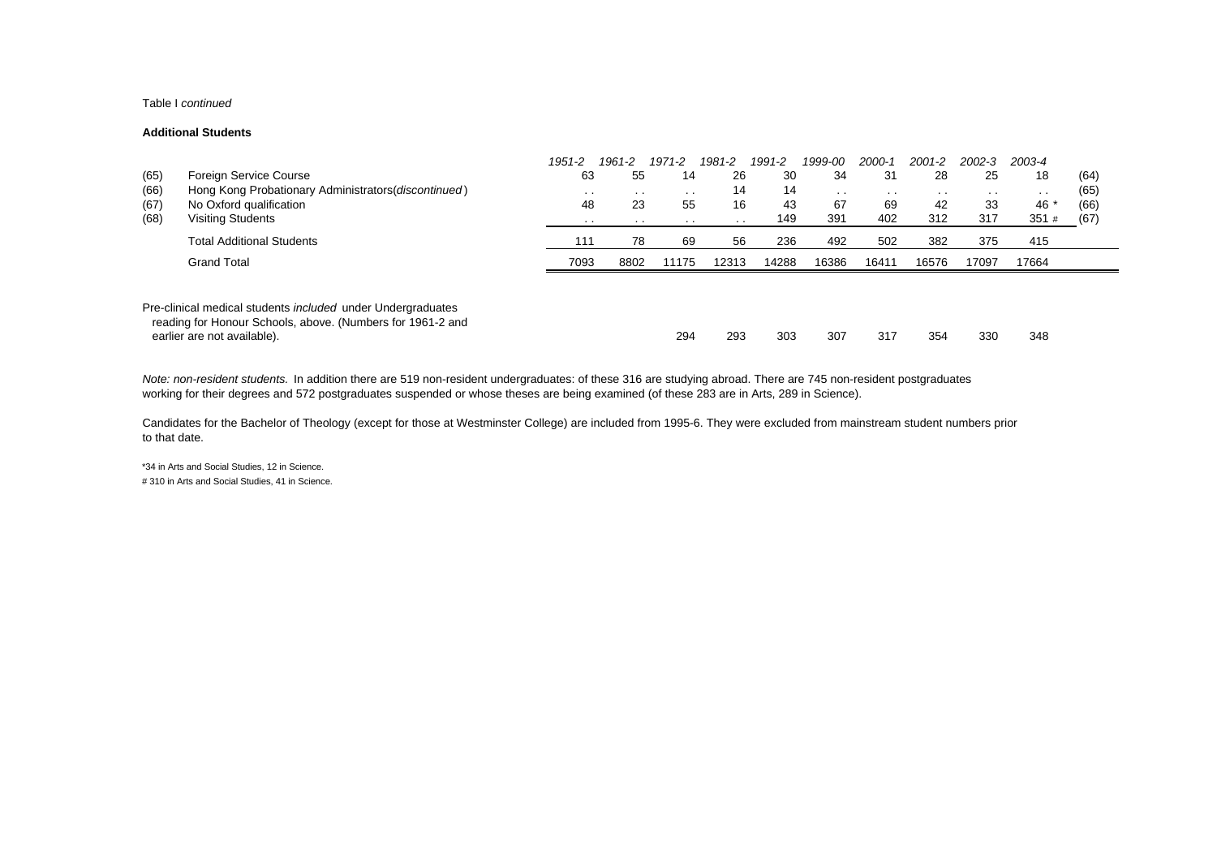#### Table I *continued*

#### **Additional Students**

|      |                                                                                                                                  | 1951-2 | 1961-2   | 1971-2          | 1981-2          | 1991-2 | 1999-00 | 2000-1 | 2001-2        | 2002-3 | 2003-4 |      |
|------|----------------------------------------------------------------------------------------------------------------------------------|--------|----------|-----------------|-----------------|--------|---------|--------|---------------|--------|--------|------|
| (65) | Foreign Service Course                                                                                                           | 63     | 55       | 14              | 26              | 30     | 34      | 31     | 28            | 25     | 18     | (64) |
| (66) | Hong Kong Probationary Administrators (discontinued)                                                                             | $\sim$ | . .      | $\cdot$ $\cdot$ | 14              | 14     | $\sim$  | $\sim$ | $\sim$ $\sim$ | . .    | $\sim$ | (65) |
| (67) | No Oxford qualification                                                                                                          | 48     | 23       | 55              | 16              | 43     | 67      | 69     | 42            | -33    | 46 *   | (66) |
| (68) | <b>Visiting Students</b>                                                                                                         | . .    | $\cdots$ | $\sim$          | $\cdot$ $\cdot$ | 149    | 391     | 402    | 312           | 317    | 351#   | (67) |
|      | <b>Total Additional Students</b>                                                                                                 | 111    | 78       | 69              | 56              | 236    | 492     | 502    | 382           | 375    | 415    |      |
|      | <b>Grand Total</b>                                                                                                               | 7093   | 8802     | 11175           | 12313           | 14288  | 16386   | 16411  | 16576         | 17097  | 17664  |      |
|      |                                                                                                                                  |        |          |                 |                 |        |         |        |               |        |        |      |
|      | Pre-clinical medical students <i>included</i> under Undergraduates<br>reading for Honour Schools, above. (Numbers for 1961-2 and |        |          |                 |                 |        |         |        |               |        |        |      |
|      | earlier are not available).                                                                                                      |        |          | 294             | 293             | 303    | 307     | 317    | 354           | 330    | 348    |      |

*Note: non-resident students.* In addition there are 519 non-resident undergraduates: of these 316 are studying abroad. There are 745 non-resident postgraduates working for their degrees and 572 postgraduates suspended or whose theses are being examined (of these 283 are in Arts, 289 in Science).

Candidates for the Bachelor of Theology (except for those at Westminster College) are included from 1995-6. They were excluded from mainstream student numbers prior to that date.

\*34 in Arts and Social Studies, 12 in Science. # 310 in Arts and Social Studies, 41 in Science.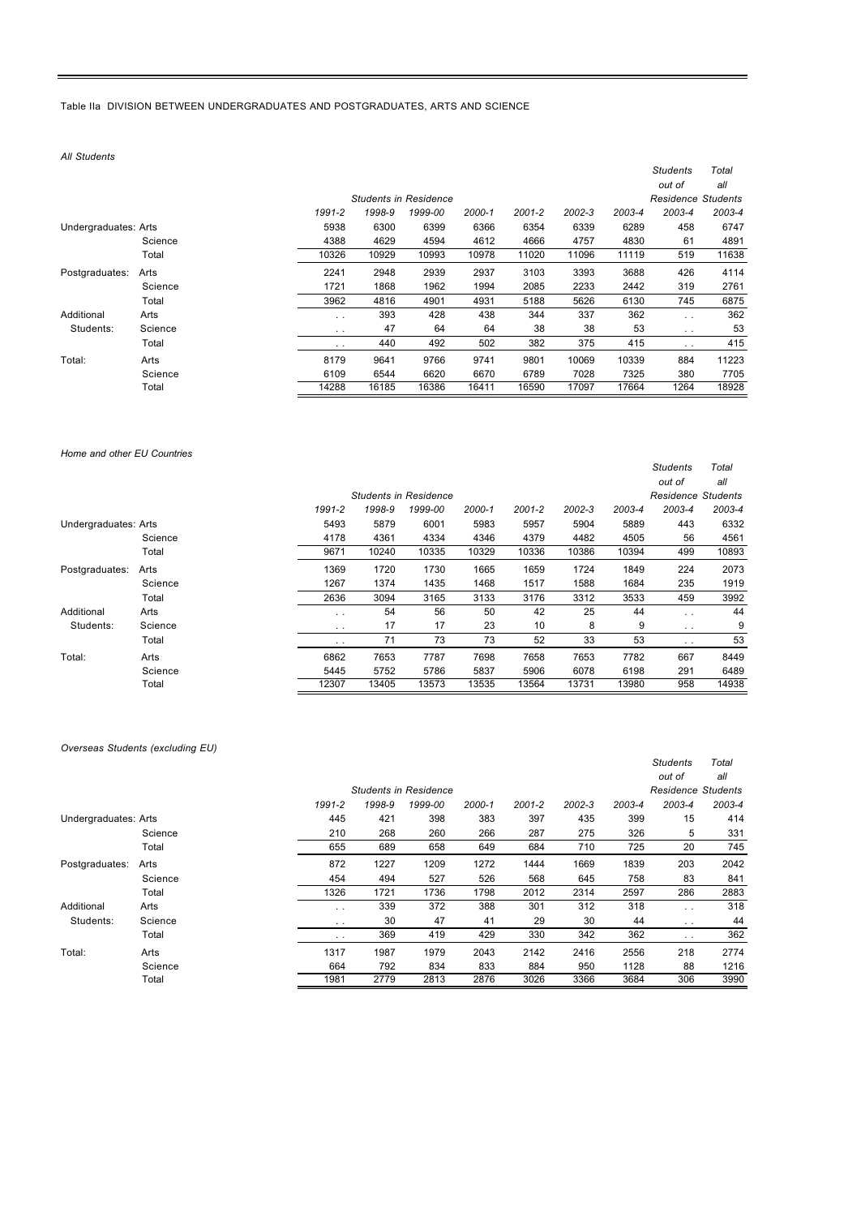Table IIa DIVISION BETWEEN UNDERGRADUATES AND POSTGRADUATES, ARTS AND SCIENCE

*All Students*

|                      |         |                 |        |                              |        |            |        |        | <b>Students</b>           | Total  |
|----------------------|---------|-----------------|--------|------------------------------|--------|------------|--------|--------|---------------------------|--------|
|                      |         |                 |        |                              |        |            |        |        | out of                    | all    |
|                      |         |                 |        | <b>Students in Residence</b> |        |            |        |        | <b>Residence Students</b> |        |
|                      |         | 1991-2          | 1998-9 | 1999-00                      | 2000-1 | $2001 - 2$ | 2002-3 | 2003-4 | 2003-4                    | 2003-4 |
| Undergraduates: Arts |         | 5938            | 6300   | 6399                         | 6366   | 6354       | 6339   | 6289   | 458                       | 6747   |
|                      | Science | 4388            | 4629   | 4594                         | 4612   | 4666       | 4757   | 4830   | 61                        | 4891   |
|                      | Total   | 10326           | 10929  | 10993                        | 10978  | 11020      | 11096  | 11119  | 519                       | 11638  |
| Postgraduates:       | Arts    | 2241            | 2948   | 2939                         | 2937   | 3103       | 3393   | 3688   | 426                       | 4114   |
|                      | Science | 1721            | 1868   | 1962                         | 1994   | 2085       | 2233   | 2442   | 319                       | 2761   |
|                      | Total   | 3962            | 4816   | 4901                         | 4931   | 5188       | 5626   | 6130   | 745                       | 6875   |
| Additional           | Arts    | $\ddotsc$       | 393    | 428                          | 438    | 344        | 337    | 362    | $\ddot{\phantom{0}}$      | 362    |
| Students:            | Science | $\cdot$ $\cdot$ | 47     | 64                           | 64     | 38         | 38     | 53     | $\sim$ $\sim$             | 53     |
|                      | Total   | $\cdot$ .       | 440    | 492                          | 502    | 382        | 375    | 415    | $\ddotsc$                 | 415    |
| Total:               | Arts    | 8179            | 9641   | 9766                         | 9741   | 9801       | 10069  | 10339  | 884                       | 11223  |
|                      | Science | 6109            | 6544   | 6620                         | 6670   | 6789       | 7028   | 7325   | 380                       | 7705   |
|                      | Total   | 14288           | 16185  | 16386                        | 16411  | 16590      | 17097  | 17664  | 1264                      | 18928  |

#### *Home and other EU Countries*

|                      |         |                 |        |                              |        |            |        |        | out of                    | all    |
|----------------------|---------|-----------------|--------|------------------------------|--------|------------|--------|--------|---------------------------|--------|
|                      |         |                 |        | <b>Students in Residence</b> |        |            |        |        | <b>Residence Students</b> |        |
|                      |         | 1991-2          | 1998-9 | 1999-00                      | 2000-1 | $2001 - 2$ | 2002-3 | 2003-4 | 2003-4                    | 2003-4 |
| Undergraduates: Arts |         | 5493            | 5879   | 6001                         | 5983   | 5957       | 5904   | 5889   | 443                       | 6332   |
|                      | Science | 4178            | 4361   | 4334                         | 4346   | 4379       | 4482   | 4505   | 56                        | 4561   |
|                      | Total   | 9671            | 10240  | 10335                        | 10329  | 10336      | 10386  | 10394  | 499                       | 10893  |
| Postgraduates:       | Arts    | 1369            | 1720   | 1730                         | 1665   | 1659       | 1724   | 1849   | 224                       | 2073   |
|                      | Science | 1267            | 1374   | 1435                         | 1468   | 1517       | 1588   | 1684   | 235                       | 1919   |
|                      | Total   | 2636            | 3094   | 3165                         | 3133   | 3176       | 3312   | 3533   | 459                       | 3992   |
| Additional           | Arts    | $\cdot$ .       | 54     | 56                           | 50     | 42         | 25     | 44     | $\ddot{\phantom{0}}$      | 44     |
| Students:            | Science | $\cdot$ .       | 17     | 17                           | 23     | 10         | 8      | 9      | $\sim$                    | 9      |
|                      | Total   | $\cdot$ $\cdot$ | 71     | 73                           | 73     | 52         | 33     | 53     | $\sim$ $\sim$             | 53     |
| Total:               | Arts    | 6862            | 7653   | 7787                         | 7698   | 7658       | 7653   | 7782   | 667                       | 8449   |
|                      | Science | 5445            | 5752   | 5786                         | 5837   | 5906       | 6078   | 6198   | 291                       | 6489   |
|                      | Total   | 12307           | 13405  | 13573                        | 13535  | 13564      | 13731  | 13980  | 958                       | 14938  |

*Students Total*

## *Overseas Students (excluding EU)*

|                      |         |           |        |                              |        |            |        |        | <b>Students</b><br>out of | Total<br>all |
|----------------------|---------|-----------|--------|------------------------------|--------|------------|--------|--------|---------------------------|--------------|
|                      |         |           |        | <b>Students in Residence</b> |        |            |        |        | Residence Students        |              |
|                      |         | 1991-2    | 1998-9 | 1999-00                      | 2000-1 | $2001 - 2$ | 2002-3 | 2003-4 | 2003-4                    | 2003-4       |
| Undergraduates: Arts |         | 445       | 421    | 398                          | 383    | 397        | 435    | 399    | 15                        | 414          |
|                      | Science | 210       | 268    | 260                          | 266    | 287        | 275    | 326    | 5                         | 331          |
|                      | Total   | 655       | 689    | 658                          | 649    | 684        | 710    | 725    | 20                        | 745          |
| Postgraduates:       | Arts    | 872       | 1227   | 1209                         | 1272   | 1444       | 1669   | 1839   | 203                       | 2042         |
|                      | Science | 454       | 494    | 527                          | 526    | 568        | 645    | 758    | 83                        | 841          |
|                      | Total   | 1326      | 1721   | 1736                         | 1798   | 2012       | 2314   | 2597   | 286                       | 2883         |
| Additional           | Arts    | $\ddotsc$ | 339    | 372                          | 388    | 301        | 312    | 318    | $\sim$ $\sim$             | 318          |
| Students:            | Science | $\cdot$ . | 30     | 47                           | 41     | 29         | 30     | 44     | $\cdots$                  | 44           |
|                      | Total   | $\ddotsc$ | 369    | 419                          | 429    | 330        | 342    | 362    | $\cdots$                  | 362          |
| Total:               | Arts    | 1317      | 1987   | 1979                         | 2043   | 2142       | 2416   | 2556   | 218                       | 2774         |
|                      | Science | 664       | 792    | 834                          | 833    | 884        | 950    | 1128   | 88                        | 1216         |
|                      | Total   | 1981      | 2779   | 2813                         | 2876   | 3026       | 3366   | 3684   | 306                       | 3990         |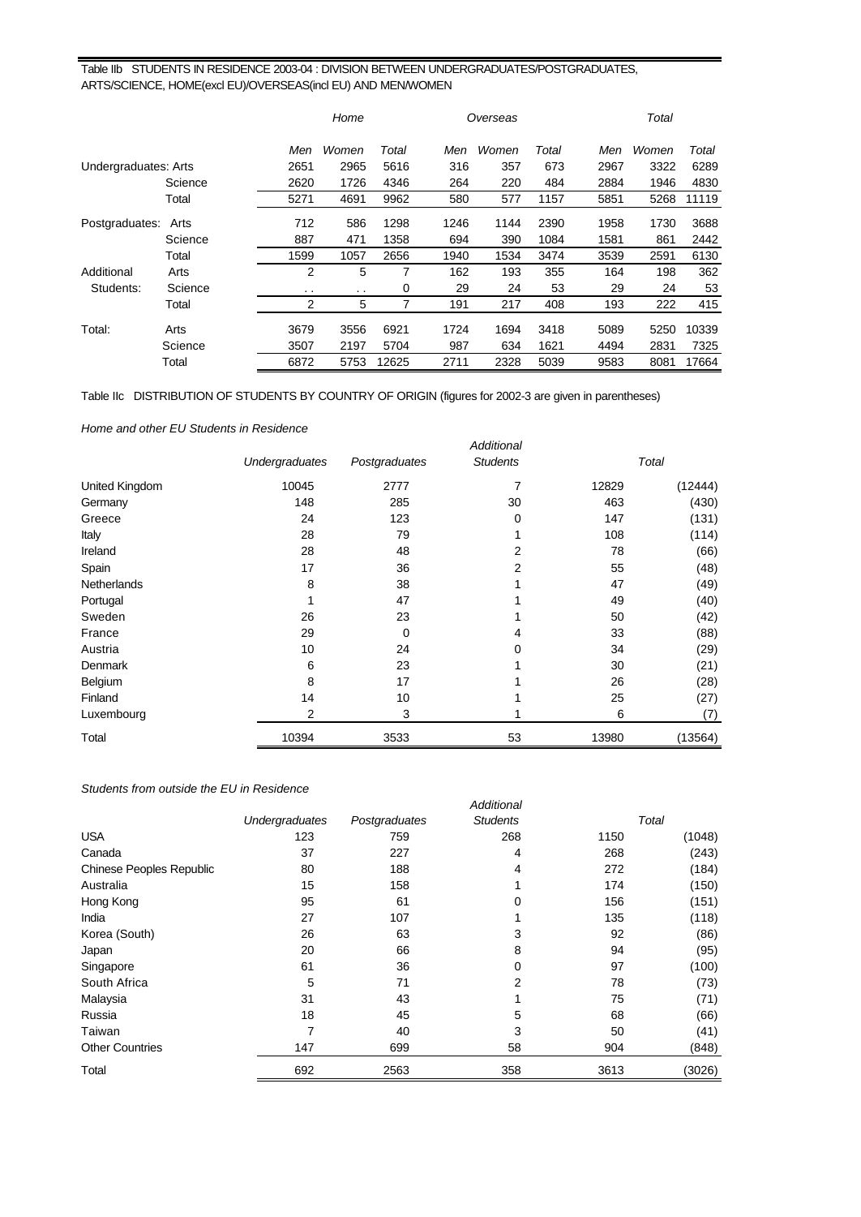# Table IIb STUDENTS IN RESIDENCE 2003-04 : DIVISION BETWEEN UNDERGRADUATES/POSTGRADUATES, ARTS/SCIENCE, HOME(excl EU)/OVERSEAS(incl EU) AND MEN/WOMEN

|                      |         |               | Home   |       |      | Overseas |       |      | Total |       |
|----------------------|---------|---------------|--------|-------|------|----------|-------|------|-------|-------|
|                      |         | Men           | Women  | Total | Men  | Women    | Total | Men  | Women | Total |
| Undergraduates: Arts |         | 2651          | 2965   | 5616  | 316  | 357      | 673   | 2967 | 3322  | 6289  |
|                      | Science | 2620          | 1726   | 4346  | 264  | 220      | 484   | 2884 | 1946  | 4830  |
|                      | Total   | 5271          | 4691   | 9962  | 580  | 577      | 1157  | 5851 | 5268  | 11119 |
| Postgraduates:       | Arts    | 712           | 586    | 1298  | 1246 | 1144     | 2390  | 1958 | 1730  | 3688  |
|                      | Science | 887           | 471    | 1358  | 694  | 390      | 1084  | 1581 | 861   | 2442  |
|                      | Total   | 1599          | 1057   | 2656  | 1940 | 1534     | 3474  | 3539 | 2591  | 6130  |
| Additional           | Arts    | 2             | 5      | 7     | 162  | 193      | 355   | 164  | 198   | 362   |
| Students:            | Science | $\sim$ $\sim$ | $\sim$ | 0     | 29   | 24       | 53    | 29   | 24    | 53    |
|                      | Total   | 2             | 5      | 7     | 191  | 217      | 408   | 193  | 222   | 415   |
| Total:               | Arts    | 3679          | 3556   | 6921  | 1724 | 1694     | 3418  | 5089 | 5250  | 10339 |
|                      | Science | 3507          | 2197   | 5704  | 987  | 634      | 1621  | 4494 | 2831  | 7325  |
|                      | Total   | 6872          | 5753   | 12625 | 2711 | 2328     | 5039  | 9583 | 8081  | 17664 |

Table IIc DISTRIBUTION OF STUDENTS BY COUNTRY OF ORIGIN (figures for 2002-3 are given in parentheses)

*Home and other EU Students in Residence*

|                |                |               | Additional      |       |         |
|----------------|----------------|---------------|-----------------|-------|---------|
|                | Undergraduates | Postgraduates | <b>Students</b> |       | Total   |
| United Kingdom | 10045          | 2777          | 7               | 12829 | (12444) |
| Germany        | 148            | 285           | 30              | 463   | (430)   |
| Greece         | 24             | 123           | $\Omega$        | 147   | (131)   |
| Italy          | 28             | 79            |                 | 108   | (114)   |
| Ireland        | 28             | 48            | 2               | 78    | (66)    |
| Spain          | 17             | 36            | 2               | 55    | (48)    |
| Netherlands    | 8              | 38            |                 | 47    | (49)    |
| Portugal       |                | 47            |                 | 49    | (40)    |
| Sweden         | 26             | 23            |                 | 50    | (42)    |
| France         | 29             | $\Omega$      | 4               | 33    | (88)    |
| Austria        | 10             | 24            |                 | 34    | (29)    |
| Denmark        | 6              | 23            |                 | 30    | (21)    |
| Belgium        | 8              | 17            |                 | 26    | (28)    |
| Finland        | 14             | 10            |                 | 25    | (27)    |
| Luxembourg     | $\overline{2}$ | 3             |                 | 6     | (7)     |
| Total          | 10394          | 3533          | 53              | 13980 | (13564) |

# *Students from outside the EU in Residence*

| oludomo mom outoruo tho Lo in ricoruonoo |                |               |                   |      |        |
|------------------------------------------|----------------|---------------|-------------------|------|--------|
|                                          |                |               | <b>Additional</b> |      |        |
|                                          | Undergraduates | Postgraduates | <b>Students</b>   |      | Total  |
| <b>USA</b>                               | 123            | 759           | 268               | 1150 | (1048) |
| Canada                                   | 37             | 227           | 4                 | 268  | (243)  |
| <b>Chinese Peoples Republic</b>          | 80             | 188           | 4                 | 272  | (184)  |
| Australia                                | 15             | 158           |                   | 174  | (150)  |
| Hong Kong                                | 95             | 61            | 0                 | 156  | (151)  |
| India                                    | 27             | 107           |                   | 135  | (118)  |
| Korea (South)                            | 26             | 63            | 3                 | 92   | (86)   |
| Japan                                    | 20             | 66            | 8                 | 94   | (95)   |
| Singapore                                | 61             | 36            | 0                 | 97   | (100)  |
| South Africa                             | 5              | 71            | 2                 | 78   | (73)   |
| Malaysia                                 | 31             | 43            |                   | 75   | (71)   |
| Russia                                   | 18             | 45            | 5                 | 68   | (66)   |
| Taiwan                                   | 7              | 40            | 3                 | 50   | (41)   |
| <b>Other Countries</b>                   | 147            | 699           | 58                | 904  | (848)  |
| Total                                    | 692            | 2563          | 358               | 3613 | (3026) |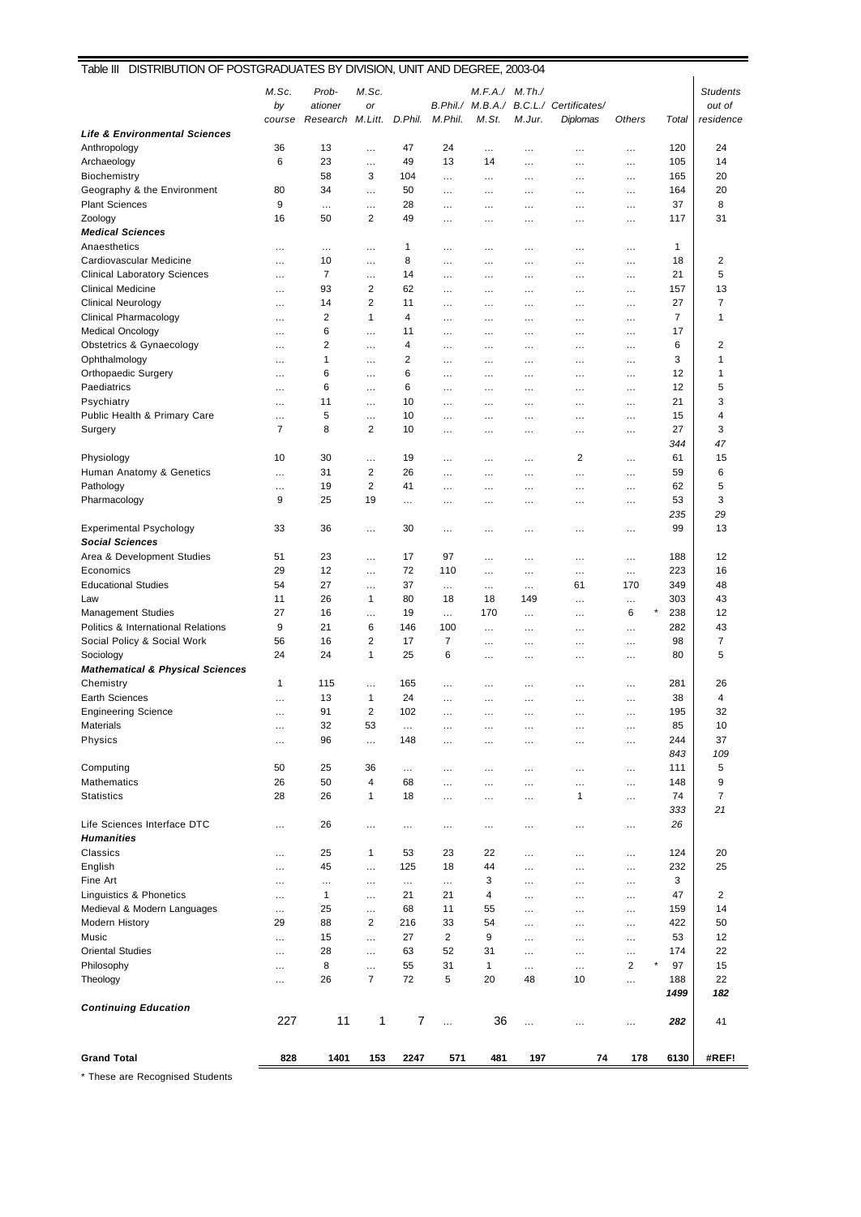| M.Sc.<br>M.Sc.<br>Prob-<br>M.F.A./ M.Th./<br><b>Students</b><br>by<br>B.Phil./ M.B.A./ B.C.L./ Certificates/<br>out of<br>ationer<br>or<br>D.Phil.<br>M.Phil.<br>M.St.<br>Research M.Litt.<br>M.Jur.<br>Diplomas<br>Others<br>Total<br>residence<br>course<br><b>Life &amp; Environmental Sciences</b><br>36<br>120<br>Anthropology<br>13<br>47<br>24<br>24<br>$\cdots$<br>$\ldots$<br><br><br>.<br>6<br>23<br>49<br>105<br>14<br>Archaeology<br>13<br>14<br>$\cdots$<br>$\cdots$<br>$\cdots$<br>$\cdots$<br>3<br>58<br>20<br>Biochemistry<br>104<br>165<br><br><br>$\cdots$<br>$\cdots$<br>.<br>20<br>Geography & the Environment<br>80<br>34<br>50<br>164<br>$\cdots$<br>.<br>$\ddotsc$<br>$\cdots$<br>$\cdots$<br>$\cdots$<br>8<br>9<br>28<br>37<br><b>Plant Sciences</b><br>$\cdots$<br>$\cdots$<br><br>$\ldots$<br><br><br>$\cdots$<br>$\overline{\mathbf{c}}$<br>31<br>Zoology<br>16<br>50<br>49<br>117<br>.<br>$\cdots$<br>$\cdots$<br>$\cdots$<br>$\cdots$<br><b>Medical Sciences</b><br>Anaesthetics<br>1<br>$\mathbf{1}$<br>$\cdots$<br>$\cdots$<br>.<br>$\cdots$<br>$\cdots$<br>$\cdots$<br>$\cdots$<br>$\cdots$<br>$\overline{2}$<br>Cardiovascular Medicine<br>10<br>8<br>18<br>$\cdots$<br>$\cdots$<br><br><br><br><br>$\cdots$<br>5<br>7<br>21<br><b>Clinical Laboratory Sciences</b><br>14<br>$\cdots$<br>.<br>$\cdots$<br>$\cdots$<br>$\cdots$<br>$\cdots$<br>$\cdots$<br>$\overline{2}$<br>13<br><b>Clinical Medicine</b><br>93<br>62<br>157<br><br>$\cdots$<br>$\ddotsc$<br>$\cdots$<br>$\cdots$<br>.<br>14<br>$\overline{2}$<br>27<br>7<br><b>Clinical Neurology</b><br>11<br>.<br>$\cdots$<br>$\cdots$<br>$\cdots$<br>.<br>$\cdots$<br>$\overline{7}$<br><b>Clinical Pharmacology</b><br>2<br>1<br>4<br>1<br>.<br>$\ldots$<br>$\cdots$<br>$\cdots$<br>$\cdots$<br>$\cdots$<br><b>Medical Oncology</b><br>6<br>17<br>11<br>$\cdots$<br>$\cdots$<br>$\cdots$<br>$\cdots$<br>$\cdots$<br>$\cdots$<br>$\cdots$<br>$\overline{2}$<br>Obstetrics & Gynaecology<br>6<br>$\overline{\mathbf{c}}$<br>$\overline{4}$<br>$\cdots$<br>.<br>$\cdots$<br>.<br>$\cdots$<br>$\ddotsc$<br>$\cdots$<br>1<br>$\overline{2}$<br>3<br>Ophthalmology<br>1<br>$\cdots$<br>.<br>$\cdots$<br>$\cdots$<br>$\cdots$<br>$\cdots$<br>$\cdots$<br><b>Orthopaedic Surgery</b><br>6<br>6<br>12<br>1<br>$\cdots$<br>.<br>$\cdots$<br>$\cdots$<br>$\cdots$<br>$\cdots$<br>.<br>6<br>6<br>12<br>5<br>Paediatrics<br>$\cdots$<br>$\cdots$<br>.<br>$\cdots$<br>$\cdots$<br>.<br>$\cdots$<br>3<br>Psychiatry<br>11<br>10<br>21<br>$\cdots$<br>.<br>$\cdots$<br>$\cdots$<br>$\cdots$<br>$\cdots$<br>.<br>Public Health & Primary Care<br>5<br>15<br>4<br>10<br>$\cdots$<br>$\cdots$<br>.<br>$\cdots$<br>$\cdots$<br>$\cdots$<br>$\cdots$<br>3<br>7<br>8<br>$\overline{2}$<br>Surgery<br>10<br>27<br>.<br>$\cdots$<br>$\cdots$<br>.<br>$\cdots$<br>344<br>47<br>15<br>Physiology<br>10<br>30<br>19<br>2<br>61<br>$\cdots$<br>.<br>$\cdots$<br>$\cdots$<br>$\cdots$<br>Human Anatomy & Genetics<br>31<br>$\overline{\mathbf{c}}$<br>26<br>59<br>6<br>$\cdots$<br><br>$\ldots$<br>$\cdots$<br>$\cdots$<br>.<br>$\overline{2}$<br>5<br>Pathology<br>19<br>41<br>62<br>$\cdots$<br>.<br><br>$\ldots$<br>$\cdots$<br>$\cdots$<br>9<br>25<br>19<br>53<br>3<br>Pharmacology<br>$\cdots$<br>$\cdots$<br>$\cdots$<br>$\cdots$<br>$\cdots$<br>$\cdots$<br>235<br>29<br>99<br>13<br><b>Experimental Psychology</b><br>33<br>36<br>30<br>$\cdots$<br>.<br>$\cdots$<br>$\cdots$<br>$\cdots$<br>$\cdots$<br><b>Social Sciences</b><br>51<br>23<br>97<br>12<br>Area & Development Studies<br>17<br>188<br>$\cdots$<br>$\cdots$<br>$\cdots$<br>$\cdots$<br>$\cdots$<br>29<br>72<br>223<br>Economics<br>12<br>110<br>16<br>$\cdots$<br>$\cdots$<br>$\cdots$<br>$\cdots$<br>$\cdots$<br><b>Educational Studies</b><br>54<br>27<br>37<br>349<br>48<br>61<br>170<br>$\cdots$<br>$\cdots$<br>$\cdots$<br>$\cdots$<br>303<br>43<br>11<br>26<br>$\mathbf{1}$<br>80<br>18<br>18<br>149<br>Law<br>$\cdots$<br>.<br>×<br>27<br>238<br>12<br><b>Management Studies</b><br>16<br>19<br>170<br>6<br>$\cdots$<br>$\cdots$<br>$\cdots$<br>$\cdots$<br>9<br>6<br>43<br>Politics & International Relations<br>21<br>146<br>100<br>282<br>$\cdots$<br>$\cdots$<br>$\cdots$<br>.<br>16<br>$\overline{2}$<br>$\overline{7}$<br>98<br>$\overline{7}$<br>Social Policy & Social Work<br>56<br>17<br>$\cdots$<br>$\cdots$<br>$\cdots$<br>$\cdots$<br>24<br>24<br>1<br>25<br>6<br>5<br>Sociology<br>80<br>$\cdots$<br>$\cdots$<br>$\cdots$<br>$\cdots$<br><b>Mathematical &amp; Physical Sciences</b><br>Chemistry<br>1<br>115<br>165<br>281<br>26<br>$\cdots$<br>.<br>$\cdots$<br>$\cdots$<br>$\cdots$<br>.<br>13<br>1<br>24<br>38<br><b>Earth Sciences</b><br>4<br>$\cdots$<br><br>$\cdots$<br>$\cdots$<br>$\cdots$<br>$\cdots$<br><b>Engineering Science</b><br>91<br>2<br>102<br>195<br>32<br>$\cdots$<br><br>$\cdots$<br>$\cdots$<br>$\cdots$<br>$\cdots$<br><b>Materials</b><br>32<br>53<br>85<br>10<br>$\cdots$<br>$\cdots$<br>.<br>$\cdots$<br>$\cdots$<br>$\cdots$<br>$\cdots$<br>Physics<br>37<br>96<br>148<br>244<br>$\cdots$<br>.<br>$\cdots$<br>$\cdots$<br>$\cdots$<br>$\cdots$<br>$\cdots$<br>109<br>843<br>50<br>5<br>Computing<br>25<br>36<br>111<br>$\cdots$<br><br>$\ldots$<br>$\ldots$<br><br>$\ldots$<br><b>Mathematics</b><br>26<br>50<br>4<br>9<br>68<br>148<br>$\ldots$<br>.<br>$\cdots$<br>$\cdots$<br>.<br><b>Statistics</b><br>28<br>74<br>7<br>26<br>$\mathbf{1}$<br>18<br>1<br><br><br>$\ldots$<br>$\cdots$<br>333<br>21<br>Life Sciences Interface DTC<br>26<br>26<br><br>$\cdots$<br>$\cdots$<br><br>$\ldots$<br>$\cdots$<br>$\cdots$<br>.<br><b>Humanities</b><br>Classics<br>25<br>1<br>53<br>23<br>22<br>124<br>20<br>$\cdots$<br>$\cdots$<br>$\ldots$<br>.<br>English<br>45<br>125<br>18<br>44<br>232<br>25<br>$\cdots$<br>$\ldots$<br>$\ldots$<br>$\cdots$<br>$\cdots$<br>Fine Art<br>3<br>3<br><br><br><br>$\cdots$<br>$\ldots$<br>$\ldots$<br>.<br>$\cdots$<br>Linguistics & Phonetics<br>1<br>21<br>21<br>47<br>2<br>4<br>$\cdots$<br>$\cdots$<br>$\cdots$<br>$\cdots$<br>$\cdots$<br>Medieval & Modern Languages<br>25<br>68<br>11<br>55<br>159<br>14<br>$\cdots$<br>$\cdots$<br>$\cdots$<br>.<br>$\cdots$<br>29<br>88<br>2<br>216<br>33<br>54<br>422<br>50<br><b>Modern History</b><br>$\cdots$<br>$\ldots$<br>$\cdots$<br>27<br>2<br>9<br>12<br>Music<br>15<br>53<br>$\ldots$<br>$\cdots$<br>$\cdots$<br><br>$\ldots$<br><b>Oriental Studies</b><br>28<br>63<br>52<br>31<br>174<br>22<br>$\cdots$<br>$\cdots$<br>$\cdots$<br>$\cdots$<br>$\cdots$<br>$\star$<br>$\sqrt{2}$<br>Philosophy<br>8<br>55<br>97<br>15<br>31<br>1<br>$\cdots$<br><br>.<br>$\cdots$<br>Theology<br>26<br>7<br>72<br>5<br>20<br>48<br>10<br>188<br>22<br>$\cdots$<br>$\cdots$<br>1499<br>182<br><b>Continuing Education</b><br>227<br>11<br>1<br>$\overline{7}$<br>36<br>282<br>41<br><br>$\ldots$<br>.<br>$\cdots$<br><b>Grand Total</b><br>828<br>1401<br>197<br>74<br>178<br>#REF!<br>153<br>2247<br>571<br>481<br>6130 | DISTRIBUTION OF POSTGRADUATES BY DIVISION, UNIT AND DEGREE, 2003-04<br>Table III |  |  |  |  |  |  |
|----------------------------------------------------------------------------------------------------------------------------------------------------------------------------------------------------------------------------------------------------------------------------------------------------------------------------------------------------------------------------------------------------------------------------------------------------------------------------------------------------------------------------------------------------------------------------------------------------------------------------------------------------------------------------------------------------------------------------------------------------------------------------------------------------------------------------------------------------------------------------------------------------------------------------------------------------------------------------------------------------------------------------------------------------------------------------------------------------------------------------------------------------------------------------------------------------------------------------------------------------------------------------------------------------------------------------------------------------------------------------------------------------------------------------------------------------------------------------------------------------------------------------------------------------------------------------------------------------------------------------------------------------------------------------------------------------------------------------------------------------------------------------------------------------------------------------------------------------------------------------------------------------------------------------------------------------------------------------------------------------------------------------------------------------------------------------------------------------------------------------------------------------------------------------------------------------------------------------------------------------------------------------------------------------------------------------------------------------------------------------------------------------------------------------------------------------------------------------------------------------------------------------------------------------------------------------------------------------------------------------------------------------------------------------------------------------------------------------------------------------------------------------------------------------------------------------------------------------------------------------------------------------------------------------------------------------------------------------------------------------------------------------------------------------------------------------------------------------------------------------------------------------------------------------------------------------------------------------------------------------------------------------------------------------------------------------------------------------------------------------------------------------------------------------------------------------------------------------------------------------------------------------------------------------------------------------------------------------------------------------------------------------------------------------------------------------------------------------------------------------------------------------------------------------------------------------------------------------------------------------------------------------------------------------------------------------------------------------------------------------------------------------------------------------------------------------------------------------------------------------------------------------------------------------------------------------------------------------------------------------------------------------------------------------------------------------------------------------------------------------------------------------------------------------------------------------------------------------------------------------------------------------------------------------------------------------------------------------------------------------------------------------------------------------------------------------------------------------------------------------------------------------------------------------------------------------------------------------------------------------------------------------------------------------------------------------------------------------------------------------------------------------------------------------------------------------------------------------------------------------------------------------------------------------------------------------------------------------------------------------------------------------------------------------------------------------------------------------------------------------------------------------------------------------------------------------------------------------------------------------------------------------------------------------------------------------------------------------------------------------------------------------------------------------------------------------------------------------------------------------------------------------------------------------------------------------------------------------------------------------------------------------------------------------------------------------------------------------------------------------------------------------------------------------------------------------------------------------------------------------------------------------------------------------------------------------------------------------------------------------------------------------------------------------------------------------------------------------------------------------------------------------------------------------------------------------------------------------------------------------------------------------------------------------------------------------------------------------------------------------------------------------------------------------------------------------------------------------------------------------------------------------------------------------------------------------------------------------------------------------------------------------------------------------------------------------------------------------------|----------------------------------------------------------------------------------|--|--|--|--|--|--|
|                                                                                                                                                                                                                                                                                                                                                                                                                                                                                                                                                                                                                                                                                                                                                                                                                                                                                                                                                                                                                                                                                                                                                                                                                                                                                                                                                                                                                                                                                                                                                                                                                                                                                                                                                                                                                                                                                                                                                                                                                                                                                                                                                                                                                                                                                                                                                                                                                                                                                                                                                                                                                                                                                                                                                                                                                                                                                                                                                                                                                                                                                                                                                                                                                                                                                                                                                                                                                                                                                                                                                                                                                                                                                                                                                                                                                                                                                                                                                                                                                                                                                                                                                                                                                                                                                                                                                                                                                                                                                                                                                                                                                                                                                                                                                                                                                                                                                                                                                                                                                                                                                                                                                                                                                                                                                                                                                                                                                                                                                                                                                                                                                                                                                                                                                                                                                                                                                                                                                                                                                                                                                                                                                                                                                                                                                                                                                                                                                                                                                                                                                                                                                                                                                                                                                                                                                                                                                                                                                                                  |                                                                                  |  |  |  |  |  |  |
|                                                                                                                                                                                                                                                                                                                                                                                                                                                                                                                                                                                                                                                                                                                                                                                                                                                                                                                                                                                                                                                                                                                                                                                                                                                                                                                                                                                                                                                                                                                                                                                                                                                                                                                                                                                                                                                                                                                                                                                                                                                                                                                                                                                                                                                                                                                                                                                                                                                                                                                                                                                                                                                                                                                                                                                                                                                                                                                                                                                                                                                                                                                                                                                                                                                                                                                                                                                                                                                                                                                                                                                                                                                                                                                                                                                                                                                                                                                                                                                                                                                                                                                                                                                                                                                                                                                                                                                                                                                                                                                                                                                                                                                                                                                                                                                                                                                                                                                                                                                                                                                                                                                                                                                                                                                                                                                                                                                                                                                                                                                                                                                                                                                                                                                                                                                                                                                                                                                                                                                                                                                                                                                                                                                                                                                                                                                                                                                                                                                                                                                                                                                                                                                                                                                                                                                                                                                                                                                                                                                  |                                                                                  |  |  |  |  |  |  |
|                                                                                                                                                                                                                                                                                                                                                                                                                                                                                                                                                                                                                                                                                                                                                                                                                                                                                                                                                                                                                                                                                                                                                                                                                                                                                                                                                                                                                                                                                                                                                                                                                                                                                                                                                                                                                                                                                                                                                                                                                                                                                                                                                                                                                                                                                                                                                                                                                                                                                                                                                                                                                                                                                                                                                                                                                                                                                                                                                                                                                                                                                                                                                                                                                                                                                                                                                                                                                                                                                                                                                                                                                                                                                                                                                                                                                                                                                                                                                                                                                                                                                                                                                                                                                                                                                                                                                                                                                                                                                                                                                                                                                                                                                                                                                                                                                                                                                                                                                                                                                                                                                                                                                                                                                                                                                                                                                                                                                                                                                                                                                                                                                                                                                                                                                                                                                                                                                                                                                                                                                                                                                                                                                                                                                                                                                                                                                                                                                                                                                                                                                                                                                                                                                                                                                                                                                                                                                                                                                                                  |                                                                                  |  |  |  |  |  |  |
|                                                                                                                                                                                                                                                                                                                                                                                                                                                                                                                                                                                                                                                                                                                                                                                                                                                                                                                                                                                                                                                                                                                                                                                                                                                                                                                                                                                                                                                                                                                                                                                                                                                                                                                                                                                                                                                                                                                                                                                                                                                                                                                                                                                                                                                                                                                                                                                                                                                                                                                                                                                                                                                                                                                                                                                                                                                                                                                                                                                                                                                                                                                                                                                                                                                                                                                                                                                                                                                                                                                                                                                                                                                                                                                                                                                                                                                                                                                                                                                                                                                                                                                                                                                                                                                                                                                                                                                                                                                                                                                                                                                                                                                                                                                                                                                                                                                                                                                                                                                                                                                                                                                                                                                                                                                                                                                                                                                                                                                                                                                                                                                                                                                                                                                                                                                                                                                                                                                                                                                                                                                                                                                                                                                                                                                                                                                                                                                                                                                                                                                                                                                                                                                                                                                                                                                                                                                                                                                                                                                  |                                                                                  |  |  |  |  |  |  |
|                                                                                                                                                                                                                                                                                                                                                                                                                                                                                                                                                                                                                                                                                                                                                                                                                                                                                                                                                                                                                                                                                                                                                                                                                                                                                                                                                                                                                                                                                                                                                                                                                                                                                                                                                                                                                                                                                                                                                                                                                                                                                                                                                                                                                                                                                                                                                                                                                                                                                                                                                                                                                                                                                                                                                                                                                                                                                                                                                                                                                                                                                                                                                                                                                                                                                                                                                                                                                                                                                                                                                                                                                                                                                                                                                                                                                                                                                                                                                                                                                                                                                                                                                                                                                                                                                                                                                                                                                                                                                                                                                                                                                                                                                                                                                                                                                                                                                                                                                                                                                                                                                                                                                                                                                                                                                                                                                                                                                                                                                                                                                                                                                                                                                                                                                                                                                                                                                                                                                                                                                                                                                                                                                                                                                                                                                                                                                                                                                                                                                                                                                                                                                                                                                                                                                                                                                                                                                                                                                                                  |                                                                                  |  |  |  |  |  |  |
|                                                                                                                                                                                                                                                                                                                                                                                                                                                                                                                                                                                                                                                                                                                                                                                                                                                                                                                                                                                                                                                                                                                                                                                                                                                                                                                                                                                                                                                                                                                                                                                                                                                                                                                                                                                                                                                                                                                                                                                                                                                                                                                                                                                                                                                                                                                                                                                                                                                                                                                                                                                                                                                                                                                                                                                                                                                                                                                                                                                                                                                                                                                                                                                                                                                                                                                                                                                                                                                                                                                                                                                                                                                                                                                                                                                                                                                                                                                                                                                                                                                                                                                                                                                                                                                                                                                                                                                                                                                                                                                                                                                                                                                                                                                                                                                                                                                                                                                                                                                                                                                                                                                                                                                                                                                                                                                                                                                                                                                                                                                                                                                                                                                                                                                                                                                                                                                                                                                                                                                                                                                                                                                                                                                                                                                                                                                                                                                                                                                                                                                                                                                                                                                                                                                                                                                                                                                                                                                                                                                  |                                                                                  |  |  |  |  |  |  |
|                                                                                                                                                                                                                                                                                                                                                                                                                                                                                                                                                                                                                                                                                                                                                                                                                                                                                                                                                                                                                                                                                                                                                                                                                                                                                                                                                                                                                                                                                                                                                                                                                                                                                                                                                                                                                                                                                                                                                                                                                                                                                                                                                                                                                                                                                                                                                                                                                                                                                                                                                                                                                                                                                                                                                                                                                                                                                                                                                                                                                                                                                                                                                                                                                                                                                                                                                                                                                                                                                                                                                                                                                                                                                                                                                                                                                                                                                                                                                                                                                                                                                                                                                                                                                                                                                                                                                                                                                                                                                                                                                                                                                                                                                                                                                                                                                                                                                                                                                                                                                                                                                                                                                                                                                                                                                                                                                                                                                                                                                                                                                                                                                                                                                                                                                                                                                                                                                                                                                                                                                                                                                                                                                                                                                                                                                                                                                                                                                                                                                                                                                                                                                                                                                                                                                                                                                                                                                                                                                                                  |                                                                                  |  |  |  |  |  |  |
|                                                                                                                                                                                                                                                                                                                                                                                                                                                                                                                                                                                                                                                                                                                                                                                                                                                                                                                                                                                                                                                                                                                                                                                                                                                                                                                                                                                                                                                                                                                                                                                                                                                                                                                                                                                                                                                                                                                                                                                                                                                                                                                                                                                                                                                                                                                                                                                                                                                                                                                                                                                                                                                                                                                                                                                                                                                                                                                                                                                                                                                                                                                                                                                                                                                                                                                                                                                                                                                                                                                                                                                                                                                                                                                                                                                                                                                                                                                                                                                                                                                                                                                                                                                                                                                                                                                                                                                                                                                                                                                                                                                                                                                                                                                                                                                                                                                                                                                                                                                                                                                                                                                                                                                                                                                                                                                                                                                                                                                                                                                                                                                                                                                                                                                                                                                                                                                                                                                                                                                                                                                                                                                                                                                                                                                                                                                                                                                                                                                                                                                                                                                                                                                                                                                                                                                                                                                                                                                                                                                  |                                                                                  |  |  |  |  |  |  |
|                                                                                                                                                                                                                                                                                                                                                                                                                                                                                                                                                                                                                                                                                                                                                                                                                                                                                                                                                                                                                                                                                                                                                                                                                                                                                                                                                                                                                                                                                                                                                                                                                                                                                                                                                                                                                                                                                                                                                                                                                                                                                                                                                                                                                                                                                                                                                                                                                                                                                                                                                                                                                                                                                                                                                                                                                                                                                                                                                                                                                                                                                                                                                                                                                                                                                                                                                                                                                                                                                                                                                                                                                                                                                                                                                                                                                                                                                                                                                                                                                                                                                                                                                                                                                                                                                                                                                                                                                                                                                                                                                                                                                                                                                                                                                                                                                                                                                                                                                                                                                                                                                                                                                                                                                                                                                                                                                                                                                                                                                                                                                                                                                                                                                                                                                                                                                                                                                                                                                                                                                                                                                                                                                                                                                                                                                                                                                                                                                                                                                                                                                                                                                                                                                                                                                                                                                                                                                                                                                                                  |                                                                                  |  |  |  |  |  |  |
|                                                                                                                                                                                                                                                                                                                                                                                                                                                                                                                                                                                                                                                                                                                                                                                                                                                                                                                                                                                                                                                                                                                                                                                                                                                                                                                                                                                                                                                                                                                                                                                                                                                                                                                                                                                                                                                                                                                                                                                                                                                                                                                                                                                                                                                                                                                                                                                                                                                                                                                                                                                                                                                                                                                                                                                                                                                                                                                                                                                                                                                                                                                                                                                                                                                                                                                                                                                                                                                                                                                                                                                                                                                                                                                                                                                                                                                                                                                                                                                                                                                                                                                                                                                                                                                                                                                                                                                                                                                                                                                                                                                                                                                                                                                                                                                                                                                                                                                                                                                                                                                                                                                                                                                                                                                                                                                                                                                                                                                                                                                                                                                                                                                                                                                                                                                                                                                                                                                                                                                                                                                                                                                                                                                                                                                                                                                                                                                                                                                                                                                                                                                                                                                                                                                                                                                                                                                                                                                                                                                  |                                                                                  |  |  |  |  |  |  |
|                                                                                                                                                                                                                                                                                                                                                                                                                                                                                                                                                                                                                                                                                                                                                                                                                                                                                                                                                                                                                                                                                                                                                                                                                                                                                                                                                                                                                                                                                                                                                                                                                                                                                                                                                                                                                                                                                                                                                                                                                                                                                                                                                                                                                                                                                                                                                                                                                                                                                                                                                                                                                                                                                                                                                                                                                                                                                                                                                                                                                                                                                                                                                                                                                                                                                                                                                                                                                                                                                                                                                                                                                                                                                                                                                                                                                                                                                                                                                                                                                                                                                                                                                                                                                                                                                                                                                                                                                                                                                                                                                                                                                                                                                                                                                                                                                                                                                                                                                                                                                                                                                                                                                                                                                                                                                                                                                                                                                                                                                                                                                                                                                                                                                                                                                                                                                                                                                                                                                                                                                                                                                                                                                                                                                                                                                                                                                                                                                                                                                                                                                                                                                                                                                                                                                                                                                                                                                                                                                                                  |                                                                                  |  |  |  |  |  |  |
|                                                                                                                                                                                                                                                                                                                                                                                                                                                                                                                                                                                                                                                                                                                                                                                                                                                                                                                                                                                                                                                                                                                                                                                                                                                                                                                                                                                                                                                                                                                                                                                                                                                                                                                                                                                                                                                                                                                                                                                                                                                                                                                                                                                                                                                                                                                                                                                                                                                                                                                                                                                                                                                                                                                                                                                                                                                                                                                                                                                                                                                                                                                                                                                                                                                                                                                                                                                                                                                                                                                                                                                                                                                                                                                                                                                                                                                                                                                                                                                                                                                                                                                                                                                                                                                                                                                                                                                                                                                                                                                                                                                                                                                                                                                                                                                                                                                                                                                                                                                                                                                                                                                                                                                                                                                                                                                                                                                                                                                                                                                                                                                                                                                                                                                                                                                                                                                                                                                                                                                                                                                                                                                                                                                                                                                                                                                                                                                                                                                                                                                                                                                                                                                                                                                                                                                                                                                                                                                                                                                  |                                                                                  |  |  |  |  |  |  |
|                                                                                                                                                                                                                                                                                                                                                                                                                                                                                                                                                                                                                                                                                                                                                                                                                                                                                                                                                                                                                                                                                                                                                                                                                                                                                                                                                                                                                                                                                                                                                                                                                                                                                                                                                                                                                                                                                                                                                                                                                                                                                                                                                                                                                                                                                                                                                                                                                                                                                                                                                                                                                                                                                                                                                                                                                                                                                                                                                                                                                                                                                                                                                                                                                                                                                                                                                                                                                                                                                                                                                                                                                                                                                                                                                                                                                                                                                                                                                                                                                                                                                                                                                                                                                                                                                                                                                                                                                                                                                                                                                                                                                                                                                                                                                                                                                                                                                                                                                                                                                                                                                                                                                                                                                                                                                                                                                                                                                                                                                                                                                                                                                                                                                                                                                                                                                                                                                                                                                                                                                                                                                                                                                                                                                                                                                                                                                                                                                                                                                                                                                                                                                                                                                                                                                                                                                                                                                                                                                                                  |                                                                                  |  |  |  |  |  |  |
|                                                                                                                                                                                                                                                                                                                                                                                                                                                                                                                                                                                                                                                                                                                                                                                                                                                                                                                                                                                                                                                                                                                                                                                                                                                                                                                                                                                                                                                                                                                                                                                                                                                                                                                                                                                                                                                                                                                                                                                                                                                                                                                                                                                                                                                                                                                                                                                                                                                                                                                                                                                                                                                                                                                                                                                                                                                                                                                                                                                                                                                                                                                                                                                                                                                                                                                                                                                                                                                                                                                                                                                                                                                                                                                                                                                                                                                                                                                                                                                                                                                                                                                                                                                                                                                                                                                                                                                                                                                                                                                                                                                                                                                                                                                                                                                                                                                                                                                                                                                                                                                                                                                                                                                                                                                                                                                                                                                                                                                                                                                                                                                                                                                                                                                                                                                                                                                                                                                                                                                                                                                                                                                                                                                                                                                                                                                                                                                                                                                                                                                                                                                                                                                                                                                                                                                                                                                                                                                                                                                  |                                                                                  |  |  |  |  |  |  |
|                                                                                                                                                                                                                                                                                                                                                                                                                                                                                                                                                                                                                                                                                                                                                                                                                                                                                                                                                                                                                                                                                                                                                                                                                                                                                                                                                                                                                                                                                                                                                                                                                                                                                                                                                                                                                                                                                                                                                                                                                                                                                                                                                                                                                                                                                                                                                                                                                                                                                                                                                                                                                                                                                                                                                                                                                                                                                                                                                                                                                                                                                                                                                                                                                                                                                                                                                                                                                                                                                                                                                                                                                                                                                                                                                                                                                                                                                                                                                                                                                                                                                                                                                                                                                                                                                                                                                                                                                                                                                                                                                                                                                                                                                                                                                                                                                                                                                                                                                                                                                                                                                                                                                                                                                                                                                                                                                                                                                                                                                                                                                                                                                                                                                                                                                                                                                                                                                                                                                                                                                                                                                                                                                                                                                                                                                                                                                                                                                                                                                                                                                                                                                                                                                                                                                                                                                                                                                                                                                                                  |                                                                                  |  |  |  |  |  |  |
|                                                                                                                                                                                                                                                                                                                                                                                                                                                                                                                                                                                                                                                                                                                                                                                                                                                                                                                                                                                                                                                                                                                                                                                                                                                                                                                                                                                                                                                                                                                                                                                                                                                                                                                                                                                                                                                                                                                                                                                                                                                                                                                                                                                                                                                                                                                                                                                                                                                                                                                                                                                                                                                                                                                                                                                                                                                                                                                                                                                                                                                                                                                                                                                                                                                                                                                                                                                                                                                                                                                                                                                                                                                                                                                                                                                                                                                                                                                                                                                                                                                                                                                                                                                                                                                                                                                                                                                                                                                                                                                                                                                                                                                                                                                                                                                                                                                                                                                                                                                                                                                                                                                                                                                                                                                                                                                                                                                                                                                                                                                                                                                                                                                                                                                                                                                                                                                                                                                                                                                                                                                                                                                                                                                                                                                                                                                                                                                                                                                                                                                                                                                                                                                                                                                                                                                                                                                                                                                                                                                  |                                                                                  |  |  |  |  |  |  |
|                                                                                                                                                                                                                                                                                                                                                                                                                                                                                                                                                                                                                                                                                                                                                                                                                                                                                                                                                                                                                                                                                                                                                                                                                                                                                                                                                                                                                                                                                                                                                                                                                                                                                                                                                                                                                                                                                                                                                                                                                                                                                                                                                                                                                                                                                                                                                                                                                                                                                                                                                                                                                                                                                                                                                                                                                                                                                                                                                                                                                                                                                                                                                                                                                                                                                                                                                                                                                                                                                                                                                                                                                                                                                                                                                                                                                                                                                                                                                                                                                                                                                                                                                                                                                                                                                                                                                                                                                                                                                                                                                                                                                                                                                                                                                                                                                                                                                                                                                                                                                                                                                                                                                                                                                                                                                                                                                                                                                                                                                                                                                                                                                                                                                                                                                                                                                                                                                                                                                                                                                                                                                                                                                                                                                                                                                                                                                                                                                                                                                                                                                                                                                                                                                                                                                                                                                                                                                                                                                                                  |                                                                                  |  |  |  |  |  |  |
|                                                                                                                                                                                                                                                                                                                                                                                                                                                                                                                                                                                                                                                                                                                                                                                                                                                                                                                                                                                                                                                                                                                                                                                                                                                                                                                                                                                                                                                                                                                                                                                                                                                                                                                                                                                                                                                                                                                                                                                                                                                                                                                                                                                                                                                                                                                                                                                                                                                                                                                                                                                                                                                                                                                                                                                                                                                                                                                                                                                                                                                                                                                                                                                                                                                                                                                                                                                                                                                                                                                                                                                                                                                                                                                                                                                                                                                                                                                                                                                                                                                                                                                                                                                                                                                                                                                                                                                                                                                                                                                                                                                                                                                                                                                                                                                                                                                                                                                                                                                                                                                                                                                                                                                                                                                                                                                                                                                                                                                                                                                                                                                                                                                                                                                                                                                                                                                                                                                                                                                                                                                                                                                                                                                                                                                                                                                                                                                                                                                                                                                                                                                                                                                                                                                                                                                                                                                                                                                                                                                  |                                                                                  |  |  |  |  |  |  |
|                                                                                                                                                                                                                                                                                                                                                                                                                                                                                                                                                                                                                                                                                                                                                                                                                                                                                                                                                                                                                                                                                                                                                                                                                                                                                                                                                                                                                                                                                                                                                                                                                                                                                                                                                                                                                                                                                                                                                                                                                                                                                                                                                                                                                                                                                                                                                                                                                                                                                                                                                                                                                                                                                                                                                                                                                                                                                                                                                                                                                                                                                                                                                                                                                                                                                                                                                                                                                                                                                                                                                                                                                                                                                                                                                                                                                                                                                                                                                                                                                                                                                                                                                                                                                                                                                                                                                                                                                                                                                                                                                                                                                                                                                                                                                                                                                                                                                                                                                                                                                                                                                                                                                                                                                                                                                                                                                                                                                                                                                                                                                                                                                                                                                                                                                                                                                                                                                                                                                                                                                                                                                                                                                                                                                                                                                                                                                                                                                                                                                                                                                                                                                                                                                                                                                                                                                                                                                                                                                                                  |                                                                                  |  |  |  |  |  |  |
|                                                                                                                                                                                                                                                                                                                                                                                                                                                                                                                                                                                                                                                                                                                                                                                                                                                                                                                                                                                                                                                                                                                                                                                                                                                                                                                                                                                                                                                                                                                                                                                                                                                                                                                                                                                                                                                                                                                                                                                                                                                                                                                                                                                                                                                                                                                                                                                                                                                                                                                                                                                                                                                                                                                                                                                                                                                                                                                                                                                                                                                                                                                                                                                                                                                                                                                                                                                                                                                                                                                                                                                                                                                                                                                                                                                                                                                                                                                                                                                                                                                                                                                                                                                                                                                                                                                                                                                                                                                                                                                                                                                                                                                                                                                                                                                                                                                                                                                                                                                                                                                                                                                                                                                                                                                                                                                                                                                                                                                                                                                                                                                                                                                                                                                                                                                                                                                                                                                                                                                                                                                                                                                                                                                                                                                                                                                                                                                                                                                                                                                                                                                                                                                                                                                                                                                                                                                                                                                                                                                  |                                                                                  |  |  |  |  |  |  |
|                                                                                                                                                                                                                                                                                                                                                                                                                                                                                                                                                                                                                                                                                                                                                                                                                                                                                                                                                                                                                                                                                                                                                                                                                                                                                                                                                                                                                                                                                                                                                                                                                                                                                                                                                                                                                                                                                                                                                                                                                                                                                                                                                                                                                                                                                                                                                                                                                                                                                                                                                                                                                                                                                                                                                                                                                                                                                                                                                                                                                                                                                                                                                                                                                                                                                                                                                                                                                                                                                                                                                                                                                                                                                                                                                                                                                                                                                                                                                                                                                                                                                                                                                                                                                                                                                                                                                                                                                                                                                                                                                                                                                                                                                                                                                                                                                                                                                                                                                                                                                                                                                                                                                                                                                                                                                                                                                                                                                                                                                                                                                                                                                                                                                                                                                                                                                                                                                                                                                                                                                                                                                                                                                                                                                                                                                                                                                                                                                                                                                                                                                                                                                                                                                                                                                                                                                                                                                                                                                                                  |                                                                                  |  |  |  |  |  |  |
|                                                                                                                                                                                                                                                                                                                                                                                                                                                                                                                                                                                                                                                                                                                                                                                                                                                                                                                                                                                                                                                                                                                                                                                                                                                                                                                                                                                                                                                                                                                                                                                                                                                                                                                                                                                                                                                                                                                                                                                                                                                                                                                                                                                                                                                                                                                                                                                                                                                                                                                                                                                                                                                                                                                                                                                                                                                                                                                                                                                                                                                                                                                                                                                                                                                                                                                                                                                                                                                                                                                                                                                                                                                                                                                                                                                                                                                                                                                                                                                                                                                                                                                                                                                                                                                                                                                                                                                                                                                                                                                                                                                                                                                                                                                                                                                                                                                                                                                                                                                                                                                                                                                                                                                                                                                                                                                                                                                                                                                                                                                                                                                                                                                                                                                                                                                                                                                                                                                                                                                                                                                                                                                                                                                                                                                                                                                                                                                                                                                                                                                                                                                                                                                                                                                                                                                                                                                                                                                                                                                  |                                                                                  |  |  |  |  |  |  |
|                                                                                                                                                                                                                                                                                                                                                                                                                                                                                                                                                                                                                                                                                                                                                                                                                                                                                                                                                                                                                                                                                                                                                                                                                                                                                                                                                                                                                                                                                                                                                                                                                                                                                                                                                                                                                                                                                                                                                                                                                                                                                                                                                                                                                                                                                                                                                                                                                                                                                                                                                                                                                                                                                                                                                                                                                                                                                                                                                                                                                                                                                                                                                                                                                                                                                                                                                                                                                                                                                                                                                                                                                                                                                                                                                                                                                                                                                                                                                                                                                                                                                                                                                                                                                                                                                                                                                                                                                                                                                                                                                                                                                                                                                                                                                                                                                                                                                                                                                                                                                                                                                                                                                                                                                                                                                                                                                                                                                                                                                                                                                                                                                                                                                                                                                                                                                                                                                                                                                                                                                                                                                                                                                                                                                                                                                                                                                                                                                                                                                                                                                                                                                                                                                                                                                                                                                                                                                                                                                                                  |                                                                                  |  |  |  |  |  |  |
|                                                                                                                                                                                                                                                                                                                                                                                                                                                                                                                                                                                                                                                                                                                                                                                                                                                                                                                                                                                                                                                                                                                                                                                                                                                                                                                                                                                                                                                                                                                                                                                                                                                                                                                                                                                                                                                                                                                                                                                                                                                                                                                                                                                                                                                                                                                                                                                                                                                                                                                                                                                                                                                                                                                                                                                                                                                                                                                                                                                                                                                                                                                                                                                                                                                                                                                                                                                                                                                                                                                                                                                                                                                                                                                                                                                                                                                                                                                                                                                                                                                                                                                                                                                                                                                                                                                                                                                                                                                                                                                                                                                                                                                                                                                                                                                                                                                                                                                                                                                                                                                                                                                                                                                                                                                                                                                                                                                                                                                                                                                                                                                                                                                                                                                                                                                                                                                                                                                                                                                                                                                                                                                                                                                                                                                                                                                                                                                                                                                                                                                                                                                                                                                                                                                                                                                                                                                                                                                                                                                  |                                                                                  |  |  |  |  |  |  |
|                                                                                                                                                                                                                                                                                                                                                                                                                                                                                                                                                                                                                                                                                                                                                                                                                                                                                                                                                                                                                                                                                                                                                                                                                                                                                                                                                                                                                                                                                                                                                                                                                                                                                                                                                                                                                                                                                                                                                                                                                                                                                                                                                                                                                                                                                                                                                                                                                                                                                                                                                                                                                                                                                                                                                                                                                                                                                                                                                                                                                                                                                                                                                                                                                                                                                                                                                                                                                                                                                                                                                                                                                                                                                                                                                                                                                                                                                                                                                                                                                                                                                                                                                                                                                                                                                                                                                                                                                                                                                                                                                                                                                                                                                                                                                                                                                                                                                                                                                                                                                                                                                                                                                                                                                                                                                                                                                                                                                                                                                                                                                                                                                                                                                                                                                                                                                                                                                                                                                                                                                                                                                                                                                                                                                                                                                                                                                                                                                                                                                                                                                                                                                                                                                                                                                                                                                                                                                                                                                                                  |                                                                                  |  |  |  |  |  |  |
|                                                                                                                                                                                                                                                                                                                                                                                                                                                                                                                                                                                                                                                                                                                                                                                                                                                                                                                                                                                                                                                                                                                                                                                                                                                                                                                                                                                                                                                                                                                                                                                                                                                                                                                                                                                                                                                                                                                                                                                                                                                                                                                                                                                                                                                                                                                                                                                                                                                                                                                                                                                                                                                                                                                                                                                                                                                                                                                                                                                                                                                                                                                                                                                                                                                                                                                                                                                                                                                                                                                                                                                                                                                                                                                                                                                                                                                                                                                                                                                                                                                                                                                                                                                                                                                                                                                                                                                                                                                                                                                                                                                                                                                                                                                                                                                                                                                                                                                                                                                                                                                                                                                                                                                                                                                                                                                                                                                                                                                                                                                                                                                                                                                                                                                                                                                                                                                                                                                                                                                                                                                                                                                                                                                                                                                                                                                                                                                                                                                                                                                                                                                                                                                                                                                                                                                                                                                                                                                                                                                  |                                                                                  |  |  |  |  |  |  |
|                                                                                                                                                                                                                                                                                                                                                                                                                                                                                                                                                                                                                                                                                                                                                                                                                                                                                                                                                                                                                                                                                                                                                                                                                                                                                                                                                                                                                                                                                                                                                                                                                                                                                                                                                                                                                                                                                                                                                                                                                                                                                                                                                                                                                                                                                                                                                                                                                                                                                                                                                                                                                                                                                                                                                                                                                                                                                                                                                                                                                                                                                                                                                                                                                                                                                                                                                                                                                                                                                                                                                                                                                                                                                                                                                                                                                                                                                                                                                                                                                                                                                                                                                                                                                                                                                                                                                                                                                                                                                                                                                                                                                                                                                                                                                                                                                                                                                                                                                                                                                                                                                                                                                                                                                                                                                                                                                                                                                                                                                                                                                                                                                                                                                                                                                                                                                                                                                                                                                                                                                                                                                                                                                                                                                                                                                                                                                                                                                                                                                                                                                                                                                                                                                                                                                                                                                                                                                                                                                                                  |                                                                                  |  |  |  |  |  |  |
|                                                                                                                                                                                                                                                                                                                                                                                                                                                                                                                                                                                                                                                                                                                                                                                                                                                                                                                                                                                                                                                                                                                                                                                                                                                                                                                                                                                                                                                                                                                                                                                                                                                                                                                                                                                                                                                                                                                                                                                                                                                                                                                                                                                                                                                                                                                                                                                                                                                                                                                                                                                                                                                                                                                                                                                                                                                                                                                                                                                                                                                                                                                                                                                                                                                                                                                                                                                                                                                                                                                                                                                                                                                                                                                                                                                                                                                                                                                                                                                                                                                                                                                                                                                                                                                                                                                                                                                                                                                                                                                                                                                                                                                                                                                                                                                                                                                                                                                                                                                                                                                                                                                                                                                                                                                                                                                                                                                                                                                                                                                                                                                                                                                                                                                                                                                                                                                                                                                                                                                                                                                                                                                                                                                                                                                                                                                                                                                                                                                                                                                                                                                                                                                                                                                                                                                                                                                                                                                                                                                  |                                                                                  |  |  |  |  |  |  |
|                                                                                                                                                                                                                                                                                                                                                                                                                                                                                                                                                                                                                                                                                                                                                                                                                                                                                                                                                                                                                                                                                                                                                                                                                                                                                                                                                                                                                                                                                                                                                                                                                                                                                                                                                                                                                                                                                                                                                                                                                                                                                                                                                                                                                                                                                                                                                                                                                                                                                                                                                                                                                                                                                                                                                                                                                                                                                                                                                                                                                                                                                                                                                                                                                                                                                                                                                                                                                                                                                                                                                                                                                                                                                                                                                                                                                                                                                                                                                                                                                                                                                                                                                                                                                                                                                                                                                                                                                                                                                                                                                                                                                                                                                                                                                                                                                                                                                                                                                                                                                                                                                                                                                                                                                                                                                                                                                                                                                                                                                                                                                                                                                                                                                                                                                                                                                                                                                                                                                                                                                                                                                                                                                                                                                                                                                                                                                                                                                                                                                                                                                                                                                                                                                                                                                                                                                                                                                                                                                                                  |                                                                                  |  |  |  |  |  |  |
|                                                                                                                                                                                                                                                                                                                                                                                                                                                                                                                                                                                                                                                                                                                                                                                                                                                                                                                                                                                                                                                                                                                                                                                                                                                                                                                                                                                                                                                                                                                                                                                                                                                                                                                                                                                                                                                                                                                                                                                                                                                                                                                                                                                                                                                                                                                                                                                                                                                                                                                                                                                                                                                                                                                                                                                                                                                                                                                                                                                                                                                                                                                                                                                                                                                                                                                                                                                                                                                                                                                                                                                                                                                                                                                                                                                                                                                                                                                                                                                                                                                                                                                                                                                                                                                                                                                                                                                                                                                                                                                                                                                                                                                                                                                                                                                                                                                                                                                                                                                                                                                                                                                                                                                                                                                                                                                                                                                                                                                                                                                                                                                                                                                                                                                                                                                                                                                                                                                                                                                                                                                                                                                                                                                                                                                                                                                                                                                                                                                                                                                                                                                                                                                                                                                                                                                                                                                                                                                                                                                  |                                                                                  |  |  |  |  |  |  |
|                                                                                                                                                                                                                                                                                                                                                                                                                                                                                                                                                                                                                                                                                                                                                                                                                                                                                                                                                                                                                                                                                                                                                                                                                                                                                                                                                                                                                                                                                                                                                                                                                                                                                                                                                                                                                                                                                                                                                                                                                                                                                                                                                                                                                                                                                                                                                                                                                                                                                                                                                                                                                                                                                                                                                                                                                                                                                                                                                                                                                                                                                                                                                                                                                                                                                                                                                                                                                                                                                                                                                                                                                                                                                                                                                                                                                                                                                                                                                                                                                                                                                                                                                                                                                                                                                                                                                                                                                                                                                                                                                                                                                                                                                                                                                                                                                                                                                                                                                                                                                                                                                                                                                                                                                                                                                                                                                                                                                                                                                                                                                                                                                                                                                                                                                                                                                                                                                                                                                                                                                                                                                                                                                                                                                                                                                                                                                                                                                                                                                                                                                                                                                                                                                                                                                                                                                                                                                                                                                                                  |                                                                                  |  |  |  |  |  |  |
|                                                                                                                                                                                                                                                                                                                                                                                                                                                                                                                                                                                                                                                                                                                                                                                                                                                                                                                                                                                                                                                                                                                                                                                                                                                                                                                                                                                                                                                                                                                                                                                                                                                                                                                                                                                                                                                                                                                                                                                                                                                                                                                                                                                                                                                                                                                                                                                                                                                                                                                                                                                                                                                                                                                                                                                                                                                                                                                                                                                                                                                                                                                                                                                                                                                                                                                                                                                                                                                                                                                                                                                                                                                                                                                                                                                                                                                                                                                                                                                                                                                                                                                                                                                                                                                                                                                                                                                                                                                                                                                                                                                                                                                                                                                                                                                                                                                                                                                                                                                                                                                                                                                                                                                                                                                                                                                                                                                                                                                                                                                                                                                                                                                                                                                                                                                                                                                                                                                                                                                                                                                                                                                                                                                                                                                                                                                                                                                                                                                                                                                                                                                                                                                                                                                                                                                                                                                                                                                                                                                  |                                                                                  |  |  |  |  |  |  |
|                                                                                                                                                                                                                                                                                                                                                                                                                                                                                                                                                                                                                                                                                                                                                                                                                                                                                                                                                                                                                                                                                                                                                                                                                                                                                                                                                                                                                                                                                                                                                                                                                                                                                                                                                                                                                                                                                                                                                                                                                                                                                                                                                                                                                                                                                                                                                                                                                                                                                                                                                                                                                                                                                                                                                                                                                                                                                                                                                                                                                                                                                                                                                                                                                                                                                                                                                                                                                                                                                                                                                                                                                                                                                                                                                                                                                                                                                                                                                                                                                                                                                                                                                                                                                                                                                                                                                                                                                                                                                                                                                                                                                                                                                                                                                                                                                                                                                                                                                                                                                                                                                                                                                                                                                                                                                                                                                                                                                                                                                                                                                                                                                                                                                                                                                                                                                                                                                                                                                                                                                                                                                                                                                                                                                                                                                                                                                                                                                                                                                                                                                                                                                                                                                                                                                                                                                                                                                                                                                                                  |                                                                                  |  |  |  |  |  |  |
|                                                                                                                                                                                                                                                                                                                                                                                                                                                                                                                                                                                                                                                                                                                                                                                                                                                                                                                                                                                                                                                                                                                                                                                                                                                                                                                                                                                                                                                                                                                                                                                                                                                                                                                                                                                                                                                                                                                                                                                                                                                                                                                                                                                                                                                                                                                                                                                                                                                                                                                                                                                                                                                                                                                                                                                                                                                                                                                                                                                                                                                                                                                                                                                                                                                                                                                                                                                                                                                                                                                                                                                                                                                                                                                                                                                                                                                                                                                                                                                                                                                                                                                                                                                                                                                                                                                                                                                                                                                                                                                                                                                                                                                                                                                                                                                                                                                                                                                                                                                                                                                                                                                                                                                                                                                                                                                                                                                                                                                                                                                                                                                                                                                                                                                                                                                                                                                                                                                                                                                                                                                                                                                                                                                                                                                                                                                                                                                                                                                                                                                                                                                                                                                                                                                                                                                                                                                                                                                                                                                  |                                                                                  |  |  |  |  |  |  |
|                                                                                                                                                                                                                                                                                                                                                                                                                                                                                                                                                                                                                                                                                                                                                                                                                                                                                                                                                                                                                                                                                                                                                                                                                                                                                                                                                                                                                                                                                                                                                                                                                                                                                                                                                                                                                                                                                                                                                                                                                                                                                                                                                                                                                                                                                                                                                                                                                                                                                                                                                                                                                                                                                                                                                                                                                                                                                                                                                                                                                                                                                                                                                                                                                                                                                                                                                                                                                                                                                                                                                                                                                                                                                                                                                                                                                                                                                                                                                                                                                                                                                                                                                                                                                                                                                                                                                                                                                                                                                                                                                                                                                                                                                                                                                                                                                                                                                                                                                                                                                                                                                                                                                                                                                                                                                                                                                                                                                                                                                                                                                                                                                                                                                                                                                                                                                                                                                                                                                                                                                                                                                                                                                                                                                                                                                                                                                                                                                                                                                                                                                                                                                                                                                                                                                                                                                                                                                                                                                                                  |                                                                                  |  |  |  |  |  |  |
|                                                                                                                                                                                                                                                                                                                                                                                                                                                                                                                                                                                                                                                                                                                                                                                                                                                                                                                                                                                                                                                                                                                                                                                                                                                                                                                                                                                                                                                                                                                                                                                                                                                                                                                                                                                                                                                                                                                                                                                                                                                                                                                                                                                                                                                                                                                                                                                                                                                                                                                                                                                                                                                                                                                                                                                                                                                                                                                                                                                                                                                                                                                                                                                                                                                                                                                                                                                                                                                                                                                                                                                                                                                                                                                                                                                                                                                                                                                                                                                                                                                                                                                                                                                                                                                                                                                                                                                                                                                                                                                                                                                                                                                                                                                                                                                                                                                                                                                                                                                                                                                                                                                                                                                                                                                                                                                                                                                                                                                                                                                                                                                                                                                                                                                                                                                                                                                                                                                                                                                                                                                                                                                                                                                                                                                                                                                                                                                                                                                                                                                                                                                                                                                                                                                                                                                                                                                                                                                                                                                  |                                                                                  |  |  |  |  |  |  |
|                                                                                                                                                                                                                                                                                                                                                                                                                                                                                                                                                                                                                                                                                                                                                                                                                                                                                                                                                                                                                                                                                                                                                                                                                                                                                                                                                                                                                                                                                                                                                                                                                                                                                                                                                                                                                                                                                                                                                                                                                                                                                                                                                                                                                                                                                                                                                                                                                                                                                                                                                                                                                                                                                                                                                                                                                                                                                                                                                                                                                                                                                                                                                                                                                                                                                                                                                                                                                                                                                                                                                                                                                                                                                                                                                                                                                                                                                                                                                                                                                                                                                                                                                                                                                                                                                                                                                                                                                                                                                                                                                                                                                                                                                                                                                                                                                                                                                                                                                                                                                                                                                                                                                                                                                                                                                                                                                                                                                                                                                                                                                                                                                                                                                                                                                                                                                                                                                                                                                                                                                                                                                                                                                                                                                                                                                                                                                                                                                                                                                                                                                                                                                                                                                                                                                                                                                                                                                                                                                                                  |                                                                                  |  |  |  |  |  |  |
|                                                                                                                                                                                                                                                                                                                                                                                                                                                                                                                                                                                                                                                                                                                                                                                                                                                                                                                                                                                                                                                                                                                                                                                                                                                                                                                                                                                                                                                                                                                                                                                                                                                                                                                                                                                                                                                                                                                                                                                                                                                                                                                                                                                                                                                                                                                                                                                                                                                                                                                                                                                                                                                                                                                                                                                                                                                                                                                                                                                                                                                                                                                                                                                                                                                                                                                                                                                                                                                                                                                                                                                                                                                                                                                                                                                                                                                                                                                                                                                                                                                                                                                                                                                                                                                                                                                                                                                                                                                                                                                                                                                                                                                                                                                                                                                                                                                                                                                                                                                                                                                                                                                                                                                                                                                                                                                                                                                                                                                                                                                                                                                                                                                                                                                                                                                                                                                                                                                                                                                                                                                                                                                                                                                                                                                                                                                                                                                                                                                                                                                                                                                                                                                                                                                                                                                                                                                                                                                                                                                  |                                                                                  |  |  |  |  |  |  |
|                                                                                                                                                                                                                                                                                                                                                                                                                                                                                                                                                                                                                                                                                                                                                                                                                                                                                                                                                                                                                                                                                                                                                                                                                                                                                                                                                                                                                                                                                                                                                                                                                                                                                                                                                                                                                                                                                                                                                                                                                                                                                                                                                                                                                                                                                                                                                                                                                                                                                                                                                                                                                                                                                                                                                                                                                                                                                                                                                                                                                                                                                                                                                                                                                                                                                                                                                                                                                                                                                                                                                                                                                                                                                                                                                                                                                                                                                                                                                                                                                                                                                                                                                                                                                                                                                                                                                                                                                                                                                                                                                                                                                                                                                                                                                                                                                                                                                                                                                                                                                                                                                                                                                                                                                                                                                                                                                                                                                                                                                                                                                                                                                                                                                                                                                                                                                                                                                                                                                                                                                                                                                                                                                                                                                                                                                                                                                                                                                                                                                                                                                                                                                                                                                                                                                                                                                                                                                                                                                                                  |                                                                                  |  |  |  |  |  |  |
|                                                                                                                                                                                                                                                                                                                                                                                                                                                                                                                                                                                                                                                                                                                                                                                                                                                                                                                                                                                                                                                                                                                                                                                                                                                                                                                                                                                                                                                                                                                                                                                                                                                                                                                                                                                                                                                                                                                                                                                                                                                                                                                                                                                                                                                                                                                                                                                                                                                                                                                                                                                                                                                                                                                                                                                                                                                                                                                                                                                                                                                                                                                                                                                                                                                                                                                                                                                                                                                                                                                                                                                                                                                                                                                                                                                                                                                                                                                                                                                                                                                                                                                                                                                                                                                                                                                                                                                                                                                                                                                                                                                                                                                                                                                                                                                                                                                                                                                                                                                                                                                                                                                                                                                                                                                                                                                                                                                                                                                                                                                                                                                                                                                                                                                                                                                                                                                                                                                                                                                                                                                                                                                                                                                                                                                                                                                                                                                                                                                                                                                                                                                                                                                                                                                                                                                                                                                                                                                                                                                  |                                                                                  |  |  |  |  |  |  |
|                                                                                                                                                                                                                                                                                                                                                                                                                                                                                                                                                                                                                                                                                                                                                                                                                                                                                                                                                                                                                                                                                                                                                                                                                                                                                                                                                                                                                                                                                                                                                                                                                                                                                                                                                                                                                                                                                                                                                                                                                                                                                                                                                                                                                                                                                                                                                                                                                                                                                                                                                                                                                                                                                                                                                                                                                                                                                                                                                                                                                                                                                                                                                                                                                                                                                                                                                                                                                                                                                                                                                                                                                                                                                                                                                                                                                                                                                                                                                                                                                                                                                                                                                                                                                                                                                                                                                                                                                                                                                                                                                                                                                                                                                                                                                                                                                                                                                                                                                                                                                                                                                                                                                                                                                                                                                                                                                                                                                                                                                                                                                                                                                                                                                                                                                                                                                                                                                                                                                                                                                                                                                                                                                                                                                                                                                                                                                                                                                                                                                                                                                                                                                                                                                                                                                                                                                                                                                                                                                                                  |                                                                                  |  |  |  |  |  |  |
|                                                                                                                                                                                                                                                                                                                                                                                                                                                                                                                                                                                                                                                                                                                                                                                                                                                                                                                                                                                                                                                                                                                                                                                                                                                                                                                                                                                                                                                                                                                                                                                                                                                                                                                                                                                                                                                                                                                                                                                                                                                                                                                                                                                                                                                                                                                                                                                                                                                                                                                                                                                                                                                                                                                                                                                                                                                                                                                                                                                                                                                                                                                                                                                                                                                                                                                                                                                                                                                                                                                                                                                                                                                                                                                                                                                                                                                                                                                                                                                                                                                                                                                                                                                                                                                                                                                                                                                                                                                                                                                                                                                                                                                                                                                                                                                                                                                                                                                                                                                                                                                                                                                                                                                                                                                                                                                                                                                                                                                                                                                                                                                                                                                                                                                                                                                                                                                                                                                                                                                                                                                                                                                                                                                                                                                                                                                                                                                                                                                                                                                                                                                                                                                                                                                                                                                                                                                                                                                                                                                  |                                                                                  |  |  |  |  |  |  |
|                                                                                                                                                                                                                                                                                                                                                                                                                                                                                                                                                                                                                                                                                                                                                                                                                                                                                                                                                                                                                                                                                                                                                                                                                                                                                                                                                                                                                                                                                                                                                                                                                                                                                                                                                                                                                                                                                                                                                                                                                                                                                                                                                                                                                                                                                                                                                                                                                                                                                                                                                                                                                                                                                                                                                                                                                                                                                                                                                                                                                                                                                                                                                                                                                                                                                                                                                                                                                                                                                                                                                                                                                                                                                                                                                                                                                                                                                                                                                                                                                                                                                                                                                                                                                                                                                                                                                                                                                                                                                                                                                                                                                                                                                                                                                                                                                                                                                                                                                                                                                                                                                                                                                                                                                                                                                                                                                                                                                                                                                                                                                                                                                                                                                                                                                                                                                                                                                                                                                                                                                                                                                                                                                                                                                                                                                                                                                                                                                                                                                                                                                                                                                                                                                                                                                                                                                                                                                                                                                                                  |                                                                                  |  |  |  |  |  |  |
|                                                                                                                                                                                                                                                                                                                                                                                                                                                                                                                                                                                                                                                                                                                                                                                                                                                                                                                                                                                                                                                                                                                                                                                                                                                                                                                                                                                                                                                                                                                                                                                                                                                                                                                                                                                                                                                                                                                                                                                                                                                                                                                                                                                                                                                                                                                                                                                                                                                                                                                                                                                                                                                                                                                                                                                                                                                                                                                                                                                                                                                                                                                                                                                                                                                                                                                                                                                                                                                                                                                                                                                                                                                                                                                                                                                                                                                                                                                                                                                                                                                                                                                                                                                                                                                                                                                                                                                                                                                                                                                                                                                                                                                                                                                                                                                                                                                                                                                                                                                                                                                                                                                                                                                                                                                                                                                                                                                                                                                                                                                                                                                                                                                                                                                                                                                                                                                                                                                                                                                                                                                                                                                                                                                                                                                                                                                                                                                                                                                                                                                                                                                                                                                                                                                                                                                                                                                                                                                                                                                  |                                                                                  |  |  |  |  |  |  |
|                                                                                                                                                                                                                                                                                                                                                                                                                                                                                                                                                                                                                                                                                                                                                                                                                                                                                                                                                                                                                                                                                                                                                                                                                                                                                                                                                                                                                                                                                                                                                                                                                                                                                                                                                                                                                                                                                                                                                                                                                                                                                                                                                                                                                                                                                                                                                                                                                                                                                                                                                                                                                                                                                                                                                                                                                                                                                                                                                                                                                                                                                                                                                                                                                                                                                                                                                                                                                                                                                                                                                                                                                                                                                                                                                                                                                                                                                                                                                                                                                                                                                                                                                                                                                                                                                                                                                                                                                                                                                                                                                                                                                                                                                                                                                                                                                                                                                                                                                                                                                                                                                                                                                                                                                                                                                                                                                                                                                                                                                                                                                                                                                                                                                                                                                                                                                                                                                                                                                                                                                                                                                                                                                                                                                                                                                                                                                                                                                                                                                                                                                                                                                                                                                                                                                                                                                                                                                                                                                                                  |                                                                                  |  |  |  |  |  |  |
|                                                                                                                                                                                                                                                                                                                                                                                                                                                                                                                                                                                                                                                                                                                                                                                                                                                                                                                                                                                                                                                                                                                                                                                                                                                                                                                                                                                                                                                                                                                                                                                                                                                                                                                                                                                                                                                                                                                                                                                                                                                                                                                                                                                                                                                                                                                                                                                                                                                                                                                                                                                                                                                                                                                                                                                                                                                                                                                                                                                                                                                                                                                                                                                                                                                                                                                                                                                                                                                                                                                                                                                                                                                                                                                                                                                                                                                                                                                                                                                                                                                                                                                                                                                                                                                                                                                                                                                                                                                                                                                                                                                                                                                                                                                                                                                                                                                                                                                                                                                                                                                                                                                                                                                                                                                                                                                                                                                                                                                                                                                                                                                                                                                                                                                                                                                                                                                                                                                                                                                                                                                                                                                                                                                                                                                                                                                                                                                                                                                                                                                                                                                                                                                                                                                                                                                                                                                                                                                                                                                  |                                                                                  |  |  |  |  |  |  |
|                                                                                                                                                                                                                                                                                                                                                                                                                                                                                                                                                                                                                                                                                                                                                                                                                                                                                                                                                                                                                                                                                                                                                                                                                                                                                                                                                                                                                                                                                                                                                                                                                                                                                                                                                                                                                                                                                                                                                                                                                                                                                                                                                                                                                                                                                                                                                                                                                                                                                                                                                                                                                                                                                                                                                                                                                                                                                                                                                                                                                                                                                                                                                                                                                                                                                                                                                                                                                                                                                                                                                                                                                                                                                                                                                                                                                                                                                                                                                                                                                                                                                                                                                                                                                                                                                                                                                                                                                                                                                                                                                                                                                                                                                                                                                                                                                                                                                                                                                                                                                                                                                                                                                                                                                                                                                                                                                                                                                                                                                                                                                                                                                                                                                                                                                                                                                                                                                                                                                                                                                                                                                                                                                                                                                                                                                                                                                                                                                                                                                                                                                                                                                                                                                                                                                                                                                                                                                                                                                                                  |                                                                                  |  |  |  |  |  |  |
|                                                                                                                                                                                                                                                                                                                                                                                                                                                                                                                                                                                                                                                                                                                                                                                                                                                                                                                                                                                                                                                                                                                                                                                                                                                                                                                                                                                                                                                                                                                                                                                                                                                                                                                                                                                                                                                                                                                                                                                                                                                                                                                                                                                                                                                                                                                                                                                                                                                                                                                                                                                                                                                                                                                                                                                                                                                                                                                                                                                                                                                                                                                                                                                                                                                                                                                                                                                                                                                                                                                                                                                                                                                                                                                                                                                                                                                                                                                                                                                                                                                                                                                                                                                                                                                                                                                                                                                                                                                                                                                                                                                                                                                                                                                                                                                                                                                                                                                                                                                                                                                                                                                                                                                                                                                                                                                                                                                                                                                                                                                                                                                                                                                                                                                                                                                                                                                                                                                                                                                                                                                                                                                                                                                                                                                                                                                                                                                                                                                                                                                                                                                                                                                                                                                                                                                                                                                                                                                                                                                  |                                                                                  |  |  |  |  |  |  |
|                                                                                                                                                                                                                                                                                                                                                                                                                                                                                                                                                                                                                                                                                                                                                                                                                                                                                                                                                                                                                                                                                                                                                                                                                                                                                                                                                                                                                                                                                                                                                                                                                                                                                                                                                                                                                                                                                                                                                                                                                                                                                                                                                                                                                                                                                                                                                                                                                                                                                                                                                                                                                                                                                                                                                                                                                                                                                                                                                                                                                                                                                                                                                                                                                                                                                                                                                                                                                                                                                                                                                                                                                                                                                                                                                                                                                                                                                                                                                                                                                                                                                                                                                                                                                                                                                                                                                                                                                                                                                                                                                                                                                                                                                                                                                                                                                                                                                                                                                                                                                                                                                                                                                                                                                                                                                                                                                                                                                                                                                                                                                                                                                                                                                                                                                                                                                                                                                                                                                                                                                                                                                                                                                                                                                                                                                                                                                                                                                                                                                                                                                                                                                                                                                                                                                                                                                                                                                                                                                                                  |                                                                                  |  |  |  |  |  |  |
|                                                                                                                                                                                                                                                                                                                                                                                                                                                                                                                                                                                                                                                                                                                                                                                                                                                                                                                                                                                                                                                                                                                                                                                                                                                                                                                                                                                                                                                                                                                                                                                                                                                                                                                                                                                                                                                                                                                                                                                                                                                                                                                                                                                                                                                                                                                                                                                                                                                                                                                                                                                                                                                                                                                                                                                                                                                                                                                                                                                                                                                                                                                                                                                                                                                                                                                                                                                                                                                                                                                                                                                                                                                                                                                                                                                                                                                                                                                                                                                                                                                                                                                                                                                                                                                                                                                                                                                                                                                                                                                                                                                                                                                                                                                                                                                                                                                                                                                                                                                                                                                                                                                                                                                                                                                                                                                                                                                                                                                                                                                                                                                                                                                                                                                                                                                                                                                                                                                                                                                                                                                                                                                                                                                                                                                                                                                                                                                                                                                                                                                                                                                                                                                                                                                                                                                                                                                                                                                                                                                  |                                                                                  |  |  |  |  |  |  |
|                                                                                                                                                                                                                                                                                                                                                                                                                                                                                                                                                                                                                                                                                                                                                                                                                                                                                                                                                                                                                                                                                                                                                                                                                                                                                                                                                                                                                                                                                                                                                                                                                                                                                                                                                                                                                                                                                                                                                                                                                                                                                                                                                                                                                                                                                                                                                                                                                                                                                                                                                                                                                                                                                                                                                                                                                                                                                                                                                                                                                                                                                                                                                                                                                                                                                                                                                                                                                                                                                                                                                                                                                                                                                                                                                                                                                                                                                                                                                                                                                                                                                                                                                                                                                                                                                                                                                                                                                                                                                                                                                                                                                                                                                                                                                                                                                                                                                                                                                                                                                                                                                                                                                                                                                                                                                                                                                                                                                                                                                                                                                                                                                                                                                                                                                                                                                                                                                                                                                                                                                                                                                                                                                                                                                                                                                                                                                                                                                                                                                                                                                                                                                                                                                                                                                                                                                                                                                                                                                                                  |                                                                                  |  |  |  |  |  |  |
|                                                                                                                                                                                                                                                                                                                                                                                                                                                                                                                                                                                                                                                                                                                                                                                                                                                                                                                                                                                                                                                                                                                                                                                                                                                                                                                                                                                                                                                                                                                                                                                                                                                                                                                                                                                                                                                                                                                                                                                                                                                                                                                                                                                                                                                                                                                                                                                                                                                                                                                                                                                                                                                                                                                                                                                                                                                                                                                                                                                                                                                                                                                                                                                                                                                                                                                                                                                                                                                                                                                                                                                                                                                                                                                                                                                                                                                                                                                                                                                                                                                                                                                                                                                                                                                                                                                                                                                                                                                                                                                                                                                                                                                                                                                                                                                                                                                                                                                                                                                                                                                                                                                                                                                                                                                                                                                                                                                                                                                                                                                                                                                                                                                                                                                                                                                                                                                                                                                                                                                                                                                                                                                                                                                                                                                                                                                                                                                                                                                                                                                                                                                                                                                                                                                                                                                                                                                                                                                                                                                  |                                                                                  |  |  |  |  |  |  |
|                                                                                                                                                                                                                                                                                                                                                                                                                                                                                                                                                                                                                                                                                                                                                                                                                                                                                                                                                                                                                                                                                                                                                                                                                                                                                                                                                                                                                                                                                                                                                                                                                                                                                                                                                                                                                                                                                                                                                                                                                                                                                                                                                                                                                                                                                                                                                                                                                                                                                                                                                                                                                                                                                                                                                                                                                                                                                                                                                                                                                                                                                                                                                                                                                                                                                                                                                                                                                                                                                                                                                                                                                                                                                                                                                                                                                                                                                                                                                                                                                                                                                                                                                                                                                                                                                                                                                                                                                                                                                                                                                                                                                                                                                                                                                                                                                                                                                                                                                                                                                                                                                                                                                                                                                                                                                                                                                                                                                                                                                                                                                                                                                                                                                                                                                                                                                                                                                                                                                                                                                                                                                                                                                                                                                                                                                                                                                                                                                                                                                                                                                                                                                                                                                                                                                                                                                                                                                                                                                                                  |                                                                                  |  |  |  |  |  |  |
|                                                                                                                                                                                                                                                                                                                                                                                                                                                                                                                                                                                                                                                                                                                                                                                                                                                                                                                                                                                                                                                                                                                                                                                                                                                                                                                                                                                                                                                                                                                                                                                                                                                                                                                                                                                                                                                                                                                                                                                                                                                                                                                                                                                                                                                                                                                                                                                                                                                                                                                                                                                                                                                                                                                                                                                                                                                                                                                                                                                                                                                                                                                                                                                                                                                                                                                                                                                                                                                                                                                                                                                                                                                                                                                                                                                                                                                                                                                                                                                                                                                                                                                                                                                                                                                                                                                                                                                                                                                                                                                                                                                                                                                                                                                                                                                                                                                                                                                                                                                                                                                                                                                                                                                                                                                                                                                                                                                                                                                                                                                                                                                                                                                                                                                                                                                                                                                                                                                                                                                                                                                                                                                                                                                                                                                                                                                                                                                                                                                                                                                                                                                                                                                                                                                                                                                                                                                                                                                                                                                  |                                                                                  |  |  |  |  |  |  |
|                                                                                                                                                                                                                                                                                                                                                                                                                                                                                                                                                                                                                                                                                                                                                                                                                                                                                                                                                                                                                                                                                                                                                                                                                                                                                                                                                                                                                                                                                                                                                                                                                                                                                                                                                                                                                                                                                                                                                                                                                                                                                                                                                                                                                                                                                                                                                                                                                                                                                                                                                                                                                                                                                                                                                                                                                                                                                                                                                                                                                                                                                                                                                                                                                                                                                                                                                                                                                                                                                                                                                                                                                                                                                                                                                                                                                                                                                                                                                                                                                                                                                                                                                                                                                                                                                                                                                                                                                                                                                                                                                                                                                                                                                                                                                                                                                                                                                                                                                                                                                                                                                                                                                                                                                                                                                                                                                                                                                                                                                                                                                                                                                                                                                                                                                                                                                                                                                                                                                                                                                                                                                                                                                                                                                                                                                                                                                                                                                                                                                                                                                                                                                                                                                                                                                                                                                                                                                                                                                                                  |                                                                                  |  |  |  |  |  |  |
|                                                                                                                                                                                                                                                                                                                                                                                                                                                                                                                                                                                                                                                                                                                                                                                                                                                                                                                                                                                                                                                                                                                                                                                                                                                                                                                                                                                                                                                                                                                                                                                                                                                                                                                                                                                                                                                                                                                                                                                                                                                                                                                                                                                                                                                                                                                                                                                                                                                                                                                                                                                                                                                                                                                                                                                                                                                                                                                                                                                                                                                                                                                                                                                                                                                                                                                                                                                                                                                                                                                                                                                                                                                                                                                                                                                                                                                                                                                                                                                                                                                                                                                                                                                                                                                                                                                                                                                                                                                                                                                                                                                                                                                                                                                                                                                                                                                                                                                                                                                                                                                                                                                                                                                                                                                                                                                                                                                                                                                                                                                                                                                                                                                                                                                                                                                                                                                                                                                                                                                                                                                                                                                                                                                                                                                                                                                                                                                                                                                                                                                                                                                                                                                                                                                                                                                                                                                                                                                                                                                  |                                                                                  |  |  |  |  |  |  |
|                                                                                                                                                                                                                                                                                                                                                                                                                                                                                                                                                                                                                                                                                                                                                                                                                                                                                                                                                                                                                                                                                                                                                                                                                                                                                                                                                                                                                                                                                                                                                                                                                                                                                                                                                                                                                                                                                                                                                                                                                                                                                                                                                                                                                                                                                                                                                                                                                                                                                                                                                                                                                                                                                                                                                                                                                                                                                                                                                                                                                                                                                                                                                                                                                                                                                                                                                                                                                                                                                                                                                                                                                                                                                                                                                                                                                                                                                                                                                                                                                                                                                                                                                                                                                                                                                                                                                                                                                                                                                                                                                                                                                                                                                                                                                                                                                                                                                                                                                                                                                                                                                                                                                                                                                                                                                                                                                                                                                                                                                                                                                                                                                                                                                                                                                                                                                                                                                                                                                                                                                                                                                                                                                                                                                                                                                                                                                                                                                                                                                                                                                                                                                                                                                                                                                                                                                                                                                                                                                                                  |                                                                                  |  |  |  |  |  |  |
|                                                                                                                                                                                                                                                                                                                                                                                                                                                                                                                                                                                                                                                                                                                                                                                                                                                                                                                                                                                                                                                                                                                                                                                                                                                                                                                                                                                                                                                                                                                                                                                                                                                                                                                                                                                                                                                                                                                                                                                                                                                                                                                                                                                                                                                                                                                                                                                                                                                                                                                                                                                                                                                                                                                                                                                                                                                                                                                                                                                                                                                                                                                                                                                                                                                                                                                                                                                                                                                                                                                                                                                                                                                                                                                                                                                                                                                                                                                                                                                                                                                                                                                                                                                                                                                                                                                                                                                                                                                                                                                                                                                                                                                                                                                                                                                                                                                                                                                                                                                                                                                                                                                                                                                                                                                                                                                                                                                                                                                                                                                                                                                                                                                                                                                                                                                                                                                                                                                                                                                                                                                                                                                                                                                                                                                                                                                                                                                                                                                                                                                                                                                                                                                                                                                                                                                                                                                                                                                                                                                  |                                                                                  |  |  |  |  |  |  |
|                                                                                                                                                                                                                                                                                                                                                                                                                                                                                                                                                                                                                                                                                                                                                                                                                                                                                                                                                                                                                                                                                                                                                                                                                                                                                                                                                                                                                                                                                                                                                                                                                                                                                                                                                                                                                                                                                                                                                                                                                                                                                                                                                                                                                                                                                                                                                                                                                                                                                                                                                                                                                                                                                                                                                                                                                                                                                                                                                                                                                                                                                                                                                                                                                                                                                                                                                                                                                                                                                                                                                                                                                                                                                                                                                                                                                                                                                                                                                                                                                                                                                                                                                                                                                                                                                                                                                                                                                                                                                                                                                                                                                                                                                                                                                                                                                                                                                                                                                                                                                                                                                                                                                                                                                                                                                                                                                                                                                                                                                                                                                                                                                                                                                                                                                                                                                                                                                                                                                                                                                                                                                                                                                                                                                                                                                                                                                                                                                                                                                                                                                                                                                                                                                                                                                                                                                                                                                                                                                                                  |                                                                                  |  |  |  |  |  |  |
|                                                                                                                                                                                                                                                                                                                                                                                                                                                                                                                                                                                                                                                                                                                                                                                                                                                                                                                                                                                                                                                                                                                                                                                                                                                                                                                                                                                                                                                                                                                                                                                                                                                                                                                                                                                                                                                                                                                                                                                                                                                                                                                                                                                                                                                                                                                                                                                                                                                                                                                                                                                                                                                                                                                                                                                                                                                                                                                                                                                                                                                                                                                                                                                                                                                                                                                                                                                                                                                                                                                                                                                                                                                                                                                                                                                                                                                                                                                                                                                                                                                                                                                                                                                                                                                                                                                                                                                                                                                                                                                                                                                                                                                                                                                                                                                                                                                                                                                                                                                                                                                                                                                                                                                                                                                                                                                                                                                                                                                                                                                                                                                                                                                                                                                                                                                                                                                                                                                                                                                                                                                                                                                                                                                                                                                                                                                                                                                                                                                                                                                                                                                                                                                                                                                                                                                                                                                                                                                                                                                  |                                                                                  |  |  |  |  |  |  |
|                                                                                                                                                                                                                                                                                                                                                                                                                                                                                                                                                                                                                                                                                                                                                                                                                                                                                                                                                                                                                                                                                                                                                                                                                                                                                                                                                                                                                                                                                                                                                                                                                                                                                                                                                                                                                                                                                                                                                                                                                                                                                                                                                                                                                                                                                                                                                                                                                                                                                                                                                                                                                                                                                                                                                                                                                                                                                                                                                                                                                                                                                                                                                                                                                                                                                                                                                                                                                                                                                                                                                                                                                                                                                                                                                                                                                                                                                                                                                                                                                                                                                                                                                                                                                                                                                                                                                                                                                                                                                                                                                                                                                                                                                                                                                                                                                                                                                                                                                                                                                                                                                                                                                                                                                                                                                                                                                                                                                                                                                                                                                                                                                                                                                                                                                                                                                                                                                                                                                                                                                                                                                                                                                                                                                                                                                                                                                                                                                                                                                                                                                                                                                                                                                                                                                                                                                                                                                                                                                                                  |                                                                                  |  |  |  |  |  |  |
|                                                                                                                                                                                                                                                                                                                                                                                                                                                                                                                                                                                                                                                                                                                                                                                                                                                                                                                                                                                                                                                                                                                                                                                                                                                                                                                                                                                                                                                                                                                                                                                                                                                                                                                                                                                                                                                                                                                                                                                                                                                                                                                                                                                                                                                                                                                                                                                                                                                                                                                                                                                                                                                                                                                                                                                                                                                                                                                                                                                                                                                                                                                                                                                                                                                                                                                                                                                                                                                                                                                                                                                                                                                                                                                                                                                                                                                                                                                                                                                                                                                                                                                                                                                                                                                                                                                                                                                                                                                                                                                                                                                                                                                                                                                                                                                                                                                                                                                                                                                                                                                                                                                                                                                                                                                                                                                                                                                                                                                                                                                                                                                                                                                                                                                                                                                                                                                                                                                                                                                                                                                                                                                                                                                                                                                                                                                                                                                                                                                                                                                                                                                                                                                                                                                                                                                                                                                                                                                                                                                  |                                                                                  |  |  |  |  |  |  |
|                                                                                                                                                                                                                                                                                                                                                                                                                                                                                                                                                                                                                                                                                                                                                                                                                                                                                                                                                                                                                                                                                                                                                                                                                                                                                                                                                                                                                                                                                                                                                                                                                                                                                                                                                                                                                                                                                                                                                                                                                                                                                                                                                                                                                                                                                                                                                                                                                                                                                                                                                                                                                                                                                                                                                                                                                                                                                                                                                                                                                                                                                                                                                                                                                                                                                                                                                                                                                                                                                                                                                                                                                                                                                                                                                                                                                                                                                                                                                                                                                                                                                                                                                                                                                                                                                                                                                                                                                                                                                                                                                                                                                                                                                                                                                                                                                                                                                                                                                                                                                                                                                                                                                                                                                                                                                                                                                                                                                                                                                                                                                                                                                                                                                                                                                                                                                                                                                                                                                                                                                                                                                                                                                                                                                                                                                                                                                                                                                                                                                                                                                                                                                                                                                                                                                                                                                                                                                                                                                                                  |                                                                                  |  |  |  |  |  |  |
|                                                                                                                                                                                                                                                                                                                                                                                                                                                                                                                                                                                                                                                                                                                                                                                                                                                                                                                                                                                                                                                                                                                                                                                                                                                                                                                                                                                                                                                                                                                                                                                                                                                                                                                                                                                                                                                                                                                                                                                                                                                                                                                                                                                                                                                                                                                                                                                                                                                                                                                                                                                                                                                                                                                                                                                                                                                                                                                                                                                                                                                                                                                                                                                                                                                                                                                                                                                                                                                                                                                                                                                                                                                                                                                                                                                                                                                                                                                                                                                                                                                                                                                                                                                                                                                                                                                                                                                                                                                                                                                                                                                                                                                                                                                                                                                                                                                                                                                                                                                                                                                                                                                                                                                                                                                                                                                                                                                                                                                                                                                                                                                                                                                                                                                                                                                                                                                                                                                                                                                                                                                                                                                                                                                                                                                                                                                                                                                                                                                                                                                                                                                                                                                                                                                                                                                                                                                                                                                                                                                  |                                                                                  |  |  |  |  |  |  |
|                                                                                                                                                                                                                                                                                                                                                                                                                                                                                                                                                                                                                                                                                                                                                                                                                                                                                                                                                                                                                                                                                                                                                                                                                                                                                                                                                                                                                                                                                                                                                                                                                                                                                                                                                                                                                                                                                                                                                                                                                                                                                                                                                                                                                                                                                                                                                                                                                                                                                                                                                                                                                                                                                                                                                                                                                                                                                                                                                                                                                                                                                                                                                                                                                                                                                                                                                                                                                                                                                                                                                                                                                                                                                                                                                                                                                                                                                                                                                                                                                                                                                                                                                                                                                                                                                                                                                                                                                                                                                                                                                                                                                                                                                                                                                                                                                                                                                                                                                                                                                                                                                                                                                                                                                                                                                                                                                                                                                                                                                                                                                                                                                                                                                                                                                                                                                                                                                                                                                                                                                                                                                                                                                                                                                                                                                                                                                                                                                                                                                                                                                                                                                                                                                                                                                                                                                                                                                                                                                                                  |                                                                                  |  |  |  |  |  |  |
|                                                                                                                                                                                                                                                                                                                                                                                                                                                                                                                                                                                                                                                                                                                                                                                                                                                                                                                                                                                                                                                                                                                                                                                                                                                                                                                                                                                                                                                                                                                                                                                                                                                                                                                                                                                                                                                                                                                                                                                                                                                                                                                                                                                                                                                                                                                                                                                                                                                                                                                                                                                                                                                                                                                                                                                                                                                                                                                                                                                                                                                                                                                                                                                                                                                                                                                                                                                                                                                                                                                                                                                                                                                                                                                                                                                                                                                                                                                                                                                                                                                                                                                                                                                                                                                                                                                                                                                                                                                                                                                                                                                                                                                                                                                                                                                                                                                                                                                                                                                                                                                                                                                                                                                                                                                                                                                                                                                                                                                                                                                                                                                                                                                                                                                                                                                                                                                                                                                                                                                                                                                                                                                                                                                                                                                                                                                                                                                                                                                                                                                                                                                                                                                                                                                                                                                                                                                                                                                                                                                  |                                                                                  |  |  |  |  |  |  |
|                                                                                                                                                                                                                                                                                                                                                                                                                                                                                                                                                                                                                                                                                                                                                                                                                                                                                                                                                                                                                                                                                                                                                                                                                                                                                                                                                                                                                                                                                                                                                                                                                                                                                                                                                                                                                                                                                                                                                                                                                                                                                                                                                                                                                                                                                                                                                                                                                                                                                                                                                                                                                                                                                                                                                                                                                                                                                                                                                                                                                                                                                                                                                                                                                                                                                                                                                                                                                                                                                                                                                                                                                                                                                                                                                                                                                                                                                                                                                                                                                                                                                                                                                                                                                                                                                                                                                                                                                                                                                                                                                                                                                                                                                                                                                                                                                                                                                                                                                                                                                                                                                                                                                                                                                                                                                                                                                                                                                                                                                                                                                                                                                                                                                                                                                                                                                                                                                                                                                                                                                                                                                                                                                                                                                                                                                                                                                                                                                                                                                                                                                                                                                                                                                                                                                                                                                                                                                                                                                                                  |                                                                                  |  |  |  |  |  |  |
|                                                                                                                                                                                                                                                                                                                                                                                                                                                                                                                                                                                                                                                                                                                                                                                                                                                                                                                                                                                                                                                                                                                                                                                                                                                                                                                                                                                                                                                                                                                                                                                                                                                                                                                                                                                                                                                                                                                                                                                                                                                                                                                                                                                                                                                                                                                                                                                                                                                                                                                                                                                                                                                                                                                                                                                                                                                                                                                                                                                                                                                                                                                                                                                                                                                                                                                                                                                                                                                                                                                                                                                                                                                                                                                                                                                                                                                                                                                                                                                                                                                                                                                                                                                                                                                                                                                                                                                                                                                                                                                                                                                                                                                                                                                                                                                                                                                                                                                                                                                                                                                                                                                                                                                                                                                                                                                                                                                                                                                                                                                                                                                                                                                                                                                                                                                                                                                                                                                                                                                                                                                                                                                                                                                                                                                                                                                                                                                                                                                                                                                                                                                                                                                                                                                                                                                                                                                                                                                                                                                  |                                                                                  |  |  |  |  |  |  |

\* These are Recognised Students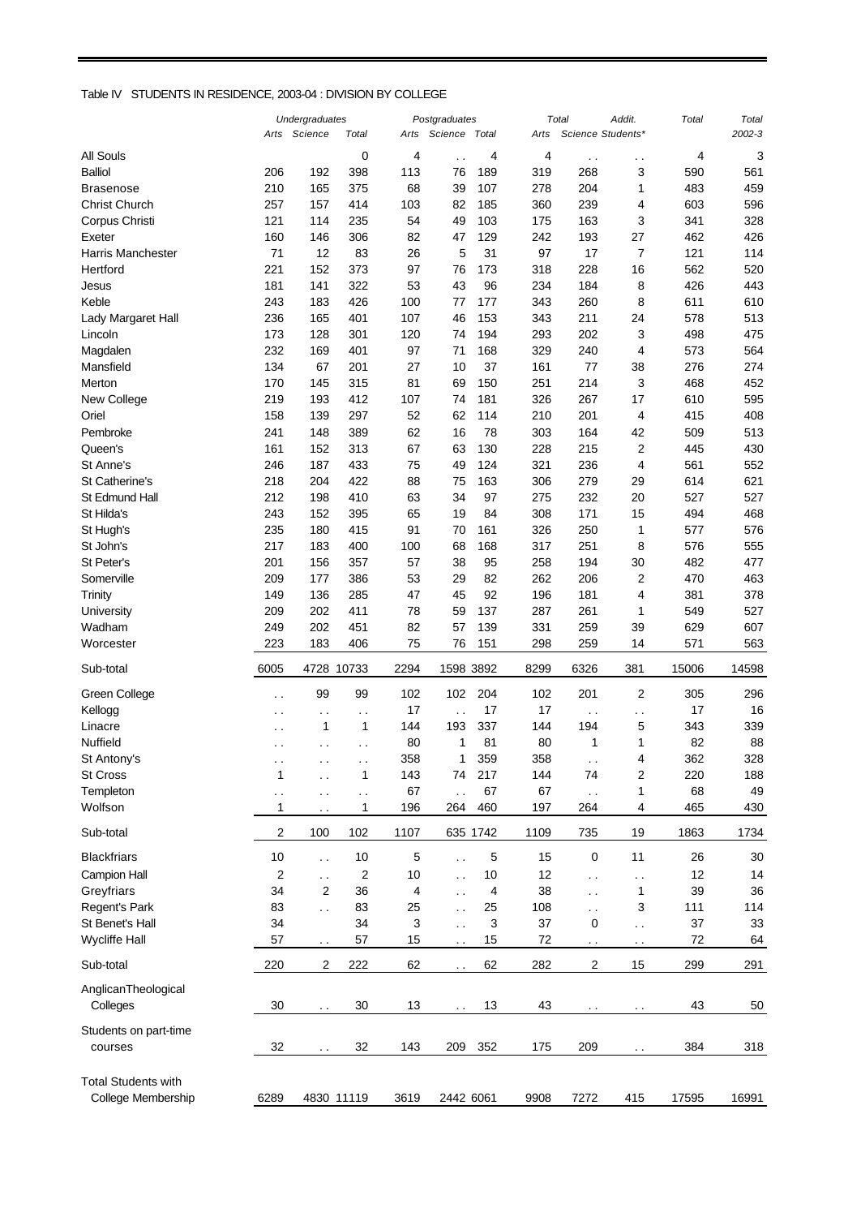## Table IV STUDENTS IN RESIDENCE, 2003-04 : DIVISION BY COLLEGE

|                            |                      | <b>Undergraduates</b>     |                      |      | Postgraduates               |          |      | Total                       | Addit.                      | Total | Total  |
|----------------------------|----------------------|---------------------------|----------------------|------|-----------------------------|----------|------|-----------------------------|-----------------------------|-------|--------|
|                            |                      | Arts Science              | Total                | Arts | Science                     | Total    | Arts |                             | Science Students*           |       | 2002-3 |
| All Souls                  |                      |                           | 0                    | 4    |                             | 4        | 4    |                             |                             | 4     | 3      |
| <b>Balliol</b>             | 206                  | 192                       | 398                  | 113  | 76                          | 189      | 319  | $\ddot{\phantom{1}}$<br>268 | $\ddot{\phantom{1}}$ .<br>3 | 590   | 561    |
| Brasenose                  | 210                  | 165                       | 375                  | 68   | 39                          | 107      | 278  | 204                         | 1                           | 483   | 459    |
| <b>Christ Church</b>       | 257                  | 157                       |                      | 103  |                             | 185      |      | 239                         |                             | 603   |        |
|                            |                      |                           | 414                  |      | 82                          |          | 360  |                             | 4                           |       | 596    |
| Corpus Christi             | 121                  | 114                       | 235                  | 54   | 49                          | 103      | 175  | 163                         | 3                           | 341   | 328    |
| Exeter                     | 160                  | 146                       | 306                  | 82   | 47                          | 129      | 242  | 193                         | 27                          | 462   | 426    |
| <b>Harris Manchester</b>   | 71                   | 12                        | 83                   | 26   | 5                           | 31       | 97   | 17                          | 7                           | 121   | 114    |
| Hertford                   | 221                  | 152                       | 373                  | 97   | 76                          | 173      | 318  | 228                         | 16                          | 562   | 520    |
| Jesus                      | 181                  | 141                       | 322                  | 53   | 43                          | 96       | 234  | 184                         | 8                           | 426   | 443    |
| Keble                      | 243                  | 183                       | 426                  | 100  | 77                          | 177      | 343  | 260                         | 8                           | 611   | 610    |
| Lady Margaret Hall         | 236                  | 165                       | 401                  | 107  | 46                          | 153      | 343  | 211                         | 24                          | 578   | 513    |
| Lincoln                    | 173                  | 128                       | 301                  | 120  | 74                          | 194      | 293  | 202                         | 3                           | 498   | 475    |
| Magdalen                   | 232                  | 169                       | 401                  | 97   | 71                          | 168      | 329  | 240                         | 4                           | 573   | 564    |
| Mansfield                  | 134                  | 67                        | 201                  | 27   | 10                          | 37       | 161  | 77                          | 38                          | 276   | 274    |
| Merton                     | 170                  | 145                       | 315                  | 81   | 69                          | 150      | 251  | 214                         | 3                           | 468   | 452    |
| New College                | 219                  | 193                       | 412                  | 107  | 74                          | 181      | 326  | 267                         | 17                          | 610   | 595    |
| Oriel                      | 158                  | 139                       | 297                  | 52   | 62                          | 114      | 210  | 201                         | 4                           | 415   | 408    |
| Pembroke                   | 241                  | 148                       | 389                  | 62   | 16                          | 78       | 303  | 164                         | 42                          | 509   | 513    |
| Queen's                    | 161                  | 152                       | 313                  | 67   | 63                          | 130      | 228  | 215                         | $\boldsymbol{2}$            | 445   | 430    |
| St Anne's                  | 246                  | 187                       | 433                  | 75   | 49                          | 124      | 321  | 236                         | 4                           | 561   | 552    |
| St Catherine's             | 218                  | 204                       | 422                  | 88   | 75                          | 163      | 306  | 279                         | 29                          | 614   | 621    |
| St Edmund Hall             | 212                  | 198                       | 410                  | 63   | 34                          | 97       | 275  | 232                         | 20                          | 527   | 527    |
| St Hilda's                 | 243                  |                           |                      |      | 19                          | 84       |      | 171                         |                             | 494   | 468    |
|                            |                      | 152                       | 395                  | 65   |                             |          | 308  |                             | 15                          |       |        |
| St Hugh's                  | 235                  | 180                       | 415                  | 91   | 70                          | 161      | 326  | 250                         | 1                           | 577   | 576    |
| St John's                  | 217                  | 183                       | 400                  | 100  | 68                          | 168      | 317  | 251                         | 8                           | 576   | 555    |
| St Peter's                 | 201                  | 156                       | 357                  | 57   | 38                          | 95       | 258  | 194                         | 30                          | 482   | 477    |
| Somerville                 | 209                  | 177                       | 386                  | 53   | 29                          | 82       | 262  | 206                         | 2                           | 470   | 463    |
| Trinity                    | 149                  | 136                       | 285                  | 47   | 45                          | 92       | 196  | 181                         | 4                           | 381   | 378    |
| University                 | 209                  | 202                       | 411                  | 78   | 59                          | 137      | 287  | 261                         | 1                           | 549   | 527    |
| Wadham                     | 249                  | 202                       | 451                  | 82   | 57                          | 139      | 331  | 259                         | 39                          | 629   | 607    |
| Worcester                  | 223                  | 183                       | 406                  | 75   | 76                          | 151      | 298  | 259                         | 14                          | 571   | 563    |
| Sub-total                  | 6005                 |                           | 4728 10733           | 2294 | 1598 3892                   |          | 8299 | 6326                        | 381                         | 15006 | 14598  |
| Green College              |                      | 99                        | 99                   | 102  | 102                         | 204      | 102  | 201                         | $\overline{\mathbf{c}}$     | 305   | 296    |
| Kellogg                    | $\cdot$ .            |                           |                      | 17   |                             | 17       | 17   |                             |                             | 17    | 16     |
| Linacre                    | . .                  | $\ddot{\phantom{1}}$<br>1 | $\sim$<br>1          | 144  | $\ddot{\phantom{0}}$<br>193 | 337      | 144  | $\ddot{\phantom{0}}$<br>194 | $\ddot{\phantom{1}}$<br>5   | 343   | 339    |
| Nuffield                   | $\ddot{\phantom{0}}$ |                           |                      | 80   |                             | 81       | 80   |                             | 1                           | 82    |        |
|                            | . .                  | $\sim$                    | $\ddot{\phantom{0}}$ |      | 1                           |          |      | 1                           |                             |       | 88     |
| St Antony's                |                      |                           |                      | 358  | 1                           | 359      | 358  |                             | 4                           | 362   | 328    |
| St Cross                   | 1                    | $\ddot{\phantom{0}}$      | 1                    | 143  | 74                          | 217      | 144  | 74                          | 2                           | 220   | 188    |
| Templeton                  | $\ddot{\phantom{0}}$ | $\ddot{\phantom{0}}$      | $\ddotsc$            | 67   |                             | 67       | 67   | $\ddot{\phantom{0}}$        | 1                           | 68    | 49     |
| Wolfson                    | 1                    | $\sim$                    | 1                    | 196  | 264                         | 460      | 197  | 264                         | 4                           | 465   | 430    |
| Sub-total                  | 2                    | 100                       | 102                  | 1107 |                             | 635 1742 | 1109 | 735                         | 19                          | 1863  | 1734   |
| <b>Blackfriars</b>         | 10                   | $\ddot{\phantom{0}}$      | 10                   | 5    | $\ddot{\phantom{a}}$        | 5        | 15   | $\pmb{0}$                   | 11                          | 26    | 30     |
| Campion Hall               | 2                    | $\ddot{\phantom{0}}$      | 2                    | 10   | $\ddot{\phantom{0}}$        | 10       | 12   | $\ddot{\phantom{0}}$        | . .                         | 12    | 14     |
| Greyfriars                 | 34                   | $\overline{2}$            | 36                   | 4    | $\ddot{\phantom{0}}$        | 4        | 38   | . .                         | 1                           | 39    | 36     |
| Regent's Park              | 83                   | $\ddot{\phantom{a}}$      | 83                   | 25   | $\ddot{\phantom{0}}$        | 25       | 108  | $\ddot{\phantom{0}}$        | 3                           | 111   | 114    |
| St Benet's Hall            | 34                   |                           | 34                   | 3    | Ω.                          | 3        | 37   | 0                           | $\ddotsc$                   | 37    | 33     |
| <b>Wycliffe Hall</b>       | 57                   | $\sim$ $\sim$             | 57                   | 15   |                             | 15       | 72   | $\ddot{\phantom{1}}$ .      | $\ddot{\phantom{1}}$        | 72    | 64     |
|                            |                      |                           |                      |      |                             |          |      |                             |                             |       |        |
| Sub-total                  | 220                  | $\overline{c}$            | 222                  | 62   |                             | 62       | 282  | $\overline{\mathbf{c}}$     | 15                          | 299   | 291    |
| AnglicanTheological        |                      |                           |                      |      |                             |          |      |                             |                             |       |        |
| Colleges                   | 30                   | $\ddot{\phantom{0}}$      | $30\,$               | 13   |                             | 13       | 43   |                             |                             | 43    | 50     |
|                            |                      |                           |                      |      |                             |          |      |                             |                             |       |        |
| Students on part-time      |                      |                           |                      |      |                             |          |      |                             |                             |       |        |
| courses                    | 32                   |                           | 32                   | 143  | 209                         | 352      | 175  | 209                         |                             | 384   | 318    |
| <b>Total Students with</b> |                      |                           |                      |      |                             |          |      |                             |                             |       |        |
| College Membership         | 6289                 |                           | 4830 11119           | 3619 | 2442 6061                   |          | 9908 | 7272                        | 415                         | 17595 | 16991  |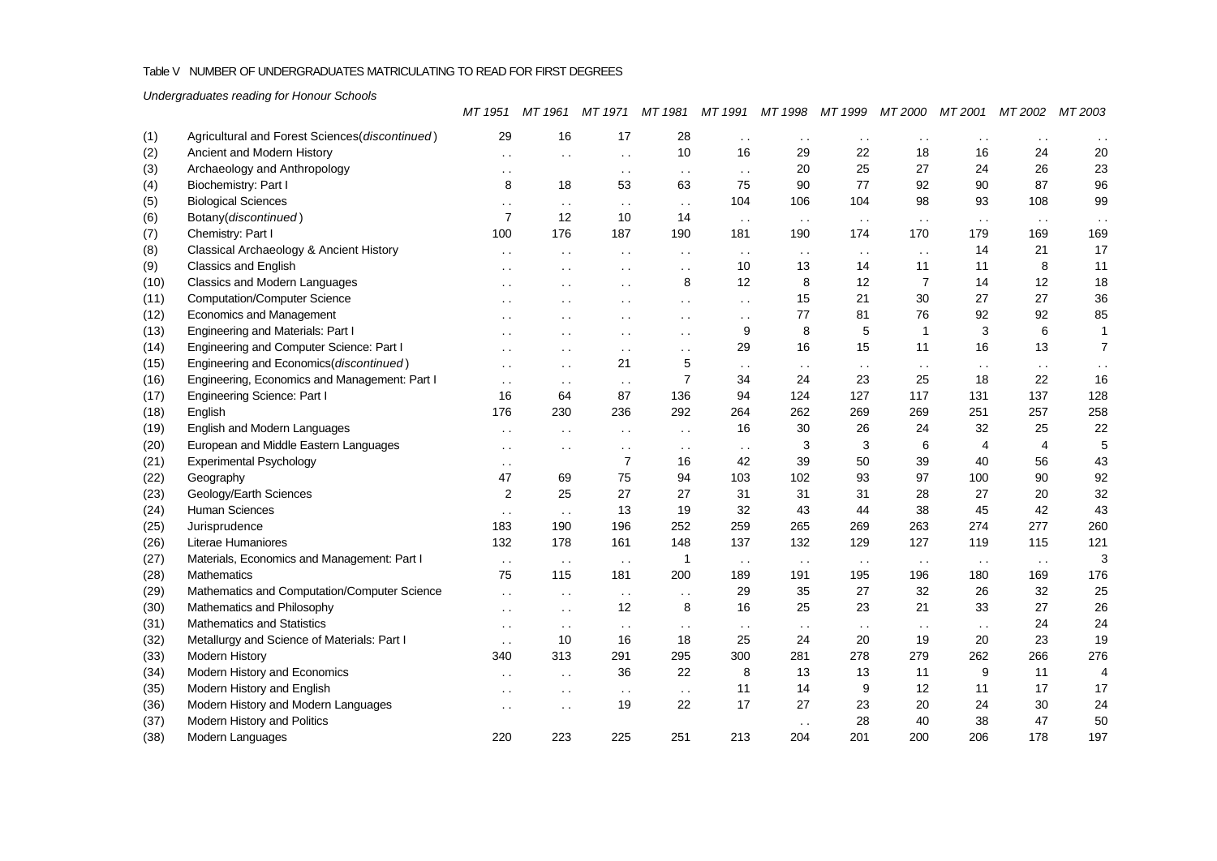# Table V NUMBER OF UNDERGRADUATES MATRICULATING TO READ FOR FIRST DEGREES

*Undergraduates reading for Honour Schools*

|      |                                                | MT 1951              | MT 1961              | MT 1971              | MT 1981              | MT 1991              | MT 1998              | MT 1999       | MT 2000              | MT 2001        | MT 2002        | MT 2003        |
|------|------------------------------------------------|----------------------|----------------------|----------------------|----------------------|----------------------|----------------------|---------------|----------------------|----------------|----------------|----------------|
| (1)  | Agricultural and Forest Sciences(discontinued) | 29                   | 16                   | 17                   | 28                   | $\sim$ $\sim$        | $\ddot{\phantom{0}}$ | $\sim$ $\sim$ | . .                  |                | $\ddotsc$      |                |
| (2)  | Ancient and Modern History                     | $\cdot$ $\cdot$      | $\cdot$ $\cdot$      | $\ddotsc$            | 10                   | 16                   | 29                   | 22            | 18                   | 16             | 24             | 20             |
| (3)  | Archaeology and Anthropology                   | $\cdot$ $\cdot$      |                      | $\sim$ $\sim$        | $\sim$ $\sim$        | $\ddotsc$            | 20                   | 25            | 27                   | 24             | 26             | 23             |
| (4)  | Biochemistry: Part I                           | 8                    | 18                   | 53                   | 63                   | 75                   | 90                   | 77            | 92                   | 90             | 87             | 96             |
| (5)  | <b>Biological Sciences</b>                     | $\sim$               | $\ddot{\phantom{0}}$ | $\sim$ $\sim$        | $\ddotsc$            | 104                  | 106                  | 104           | 98                   | 93             | 108            | 99             |
| (6)  | Botany(discontinued)                           | $\overline{7}$       | 12                   | 10                   | 14                   | $\sim$ $\sim$        | $\sim$ $\sim$        | $\sim$ $\sim$ | $\sim$ $\sim$        | $\sim$ $\sim$  | $\sim$ $\sim$  |                |
| (7)  | Chemistry: Part I                              | 100                  | 176                  | 187                  | 190                  | 181                  | 190                  | 174           | 170                  | 179            | 169            | 169            |
| (8)  | Classical Archaeology & Ancient History        | $\ddot{\phantom{0}}$ |                      | $\sim$ $\sim$        | $\sim$ $\sim$        | $\sim$ $\sim$        | $\sim$ $\sim$        | $\sim$ $\sim$ | $\sim$ $\sim$        | 14             | 21             | 17             |
| (9)  | Classics and English                           | $\cdot$ $\cdot$      | $\cdot$ .            | $\ddot{\phantom{0}}$ | $\cdot$ .            | 10                   | 13                   | 14            | 11                   | 11             | 8              | 11             |
| (10) | Classics and Modern Languages                  | $\ddot{\phantom{0}}$ | $\ddot{\phantom{a}}$ | $\ddotsc$            | 8                    | 12                   | 8                    | 12            | $\overline{7}$       | 14             | 12             | 18             |
| (11) | <b>Computation/Computer Science</b>            | $\ddotsc$            | $\cdot$ $\cdot$      | $\ddot{\phantom{0}}$ | $\sim$ $\sim$        | $\sim$ $\sim$        | 15                   | 21            | 30                   | 27             | 27             | 36             |
| (12) | Economics and Management                       | $\cdot$ $\cdot$      | $\cdot$ $\cdot$      | $\ddot{\phantom{0}}$ | $\ddot{\phantom{0}}$ | $\ddot{\phantom{0}}$ | 77                   | 81            | 76                   | 92             | 92             | 85             |
| (13) | Engineering and Materials: Part I              | $\ddot{\phantom{a}}$ |                      | $\ddot{\phantom{0}}$ | $\ddotsc$            | 9                    | 8                    | 5             | 1                    | 3              | 6              | $\mathbf{1}$   |
| (14) | Engineering and Computer Science: Part I       | $\sim$               | $\sim$               | $\sim$ $\sim$        | $\sim$ $\sim$        | 29                   | 16                   | 15            | 11                   | 16             | 13             | $\overline{7}$ |
| (15) | Engineering and Economics(discontinued)        | $\ddot{\phantom{0}}$ | $\sim$               | 21                   | 5                    | $\sim$ $\sim$        | $\sim$ $\sim$        | $\sim$ $\sim$ | $\ddot{\phantom{0}}$ | $\sim$ $\sim$  | $\sim$ $\sim$  | $\ddotsc$      |
| (16) | Engineering, Economics and Management: Part I  | $\ddot{\phantom{0}}$ | $\sim$ $\sim$        | $\sim$ $\sim$        | $\overline{7}$       | 34                   | 24                   | 23            | 25                   | 18             | 22             | 16             |
| (17) | <b>Engineering Science: Part I</b>             | 16                   | 64                   | 87                   | 136                  | 94                   | 124                  | 127           | 117                  | 131            | 137            | 128            |
| (18) | English                                        | 176                  | 230                  | 236                  | 292                  | 264                  | 262                  | 269           | 269                  | 251            | 257            | 258            |
| (19) | English and Modern Languages                   | $\sim$ $\sim$        |                      | $\sim$ $\sim$        | $\sim$               | 16                   | 30                   | 26            | 24                   | 32             | 25             | 22             |
| (20) | European and Middle Eastern Languages          | $\sim$               | $\ddot{\phantom{a}}$ | $\sim$ $\sim$        | $\sim$ $\sim$        | $\sim$ $\sim$        | 3                    | 3             | 6                    | $\overline{4}$ | $\overline{4}$ | 5              |
| (21) | <b>Experimental Psychology</b>                 | $\sim$ $\sim$        |                      | $\overline{7}$       | 16                   | 42                   | 39                   | 50            | 39                   | 40             | 56             | 43             |
| (22) | Geography                                      | 47                   | 69                   | 75                   | 94                   | 103                  | 102                  | 93            | 97                   | 100            | 90             | 92             |
| (23) | Geology/Earth Sciences                         | 2                    | 25                   | 27                   | 27                   | 31                   | 31                   | 31            | 28                   | 27             | 20             | 32             |
| (24) | <b>Human Sciences</b>                          | $\sim$ $\sim$        | $\sim$ $\sim$        | 13                   | 19                   | 32                   | 43                   | 44            | 38                   | 45             | 42             | 43             |
| (25) | Jurisprudence                                  | 183                  | 190                  | 196                  | 252                  | 259                  | 265                  | 269           | 263                  | 274            | 277            | 260            |
| (26) | Literae Humaniores                             | 132                  | 178                  | 161                  | 148                  | 137                  | 132                  | 129           | 127                  | 119            | 115            | 121            |
| (27) | Materials, Economics and Management: Part I    | $\ddot{\phantom{0}}$ | $\sim$ $\sim$        | $\sim$ .             | $\mathbf{1}$         | $\sim$ $\sim$        | $\sim$ $\sim$        | $\sim$ .      | $\sim$ $\sim$        | $\sim$ $\sim$  | $\ddotsc$      | 3              |
| (28) | <b>Mathematics</b>                             | 75                   | 115                  | 181                  | 200                  | 189                  | 191                  | 195           | 196                  | 180            | 169            | 176            |
| (29) | Mathematics and Computation/Computer Science   | $\ddot{\phantom{0}}$ | $\sim$ $\sim$        | $\sim$ $\sim$        | $\ddot{\phantom{0}}$ | 29                   | 35                   | 27            | 32                   | 26             | 32             | 25             |
| (30) | Mathematics and Philosophy                     | $\ddot{\phantom{a}}$ | $\ddot{\phantom{0}}$ | 12                   | 8                    | 16                   | 25                   | 23            | 21                   | 33             | 27             | 26             |
| (31) | Mathematics and Statistics                     | $\sim$ $\sim$        | $\sim$ $\sim$        | $\sim$ $\sim$        | $\sim$ $\sim$        | $\sim$ $\sim$        | $\sim$ $\sim$        | $\sim$ $\sim$ | $\sim$ $\sim$        | $\sim$ $\sim$  | 24             | 24             |
| (32) | Metallurgy and Science of Materials: Part I    | $\sim$ $\sim$        | 10                   | 16                   | 18                   | 25                   | 24                   | 20            | 19                   | 20             | 23             | 19             |
| (33) | <b>Modern History</b>                          | 340                  | 313                  | 291                  | 295                  | 300                  | 281                  | 278           | 279                  | 262            | 266            | 276            |
| (34) | Modern History and Economics                   | $\sim$ $\sim$        | $\sim$ $\sim$        | 36                   | 22                   | 8                    | 13                   | 13            | 11                   | 9              | 11             | 4              |
| (35) | Modern History and English                     | $\ddot{\phantom{0}}$ | $\ddot{\phantom{0}}$ | $\sim$ $\sim$        | $\ddot{\phantom{0}}$ | 11                   | 14                   | 9             | 12                   | 11             | 17             | 17             |
| (36) | Modern History and Modern Languages            | $\sim$ $\sim$        | $\ddot{\phantom{a}}$ | 19                   | 22                   | 17                   | 27                   | 23            | 20                   | 24             | 30             | 24             |
| (37) | Modern History and Politics                    |                      |                      |                      |                      |                      | $\sim$ $\sim$        | 28            | 40                   | 38             | 47             | 50             |
| (38) | Modern Languages                               | 220                  | 223                  | 225                  | 251                  | 213                  | 204                  | 201           | 200                  | 206            | 178            | 197            |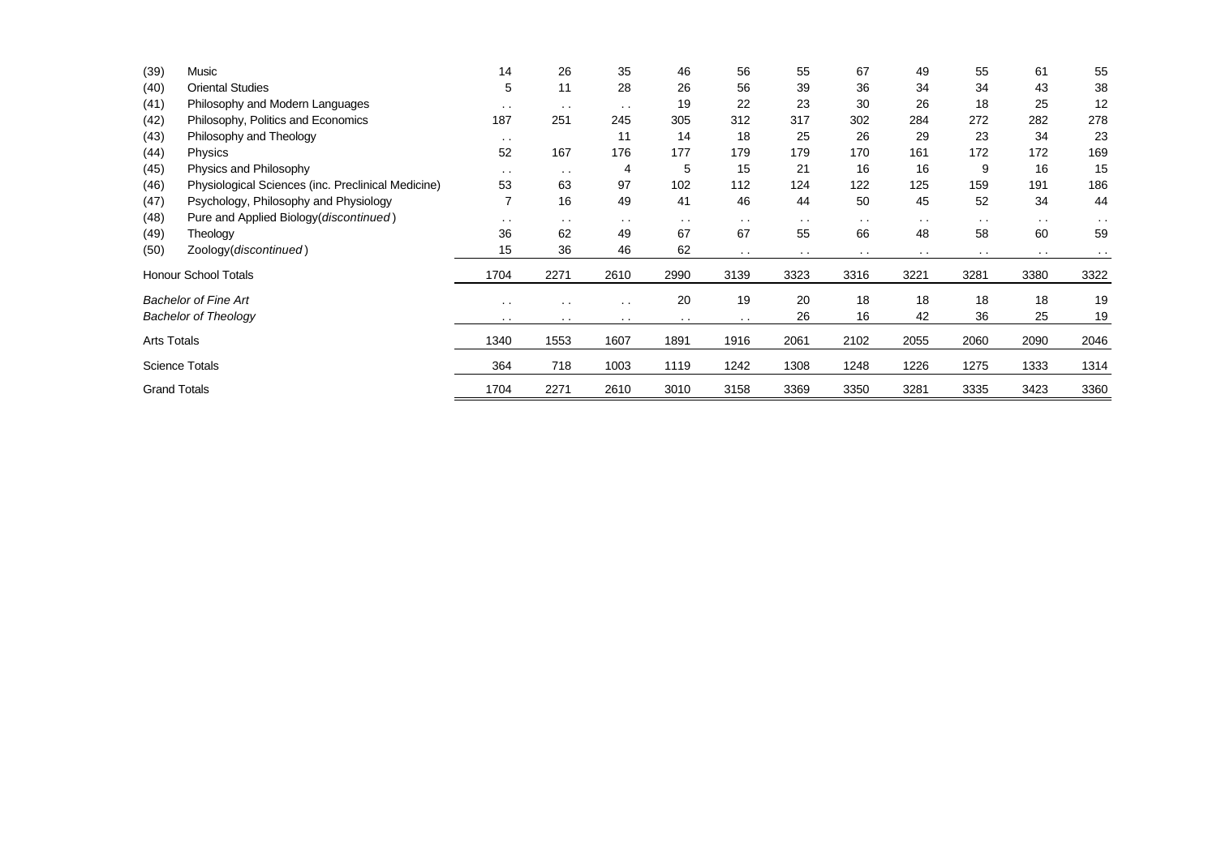| (39)                | Music                                              | 14        | 26        | 35            | 46        | 56            | 55            | 67            | 49            | 55            | 61            | 55            |
|---------------------|----------------------------------------------------|-----------|-----------|---------------|-----------|---------------|---------------|---------------|---------------|---------------|---------------|---------------|
| (40)                | <b>Oriental Studies</b>                            | 5         | 11        | 28            | 26        | 56            | 39            | 36            | 34            | 34            | 43            | 38            |
| (41)                | Philosophy and Modern Languages                    | $\sim$    | $\cdot$ . | $\sim$ $\sim$ | 19        | 22            | 23            | 30            | 26            | 18            | 25            | 12            |
| (42)                | Philosophy, Politics and Economics                 | 187       | 251       | 245           | 305       | 312           | 317           | 302           | 284           | 272           | 282           | 278           |
| (43)                | Philosophy and Theology                            | $\cdot$ . |           | 11            | 14        | 18            | 25            | 26            | 29            | 23            | 34            | 23            |
| (44)                | Physics                                            | 52        | 167       | 176           | 177       | 179           | 179           | 170           | 161           | 172           | 172           | 169           |
| (45)                | Physics and Philosophy                             | $\cdot$ . | $\cdot$ . | 4             | 5         | 15            | 21            | 16            | 16            | 9             | 16            | 15            |
| (46)                | Physiological Sciences (inc. Preclinical Medicine) | 53        | 63        | 97            | 102       | 112           | 124           | 122           | 125           | 159           | 191           | 186           |
| (47)                | Psychology, Philosophy and Physiology              |           | 16        | 49            | 41        | 46            | 44            | 50            | 45            | 52            | 34            | 44            |
| (48)                | Pure and Applied Biology(discontinued)             | $\sim$    | $\sim$    | $\sim$ $\sim$ | $\sim$    | $\sim$ $\sim$ | $\sim$ $\sim$ | $\sim$ $\sim$ | $\sim$ $\sim$ | $\sim$ $\sim$ | $\sim$ $\sim$ | $\sim$ $\sim$ |
| (49)                | Theology                                           | 36        | 62        | 49            | 67        | 67            | 55            | 66            | 48            | 58            | 60            | 59            |
| (50)                | Zoology(discontinued)                              | 15        | 36        | 46            | 62        | $\sim$ $\sim$ | $\cdots$      | $\sim$        | $\cdots$      |               | $\sim$ $\sim$ |               |
|                     | <b>Honour School Totals</b>                        | 1704      | 2271      | 2610          | 2990      | 3139          | 3323          | 3316          | 3221          | 3281          | 3380          | 3322          |
|                     | <b>Bachelor of Fine Art</b>                        | $\cdot$ . |           | $\sim$ $\sim$ | 20        | 19            | 20            | 18            | 18            | 18            | 18            | 19            |
|                     | <b>Bachelor of Theology</b>                        | $\cdot$ . | $\cdot$ . | $\cdots$      | $\cdot$ . | $\sim$        | 26            | 16            | 42            | 36            | 25            | 19            |
| <b>Arts Totals</b>  |                                                    | 1340      | 1553      | 1607          | 1891      | 1916          | 2061          | 2102          | 2055          | 2060          | 2090          | 2046          |
|                     | <b>Science Totals</b>                              | 364       | 718       | 1003          | 1119      | 1242          | 1308          | 1248          | 1226          | 1275          | 1333          | 1314          |
| <b>Grand Totals</b> |                                                    | 1704      | 2271      | 2610          | 3010      | 3158          | 3369          | 3350          | 3281          | 3335          | 3423          | 3360          |